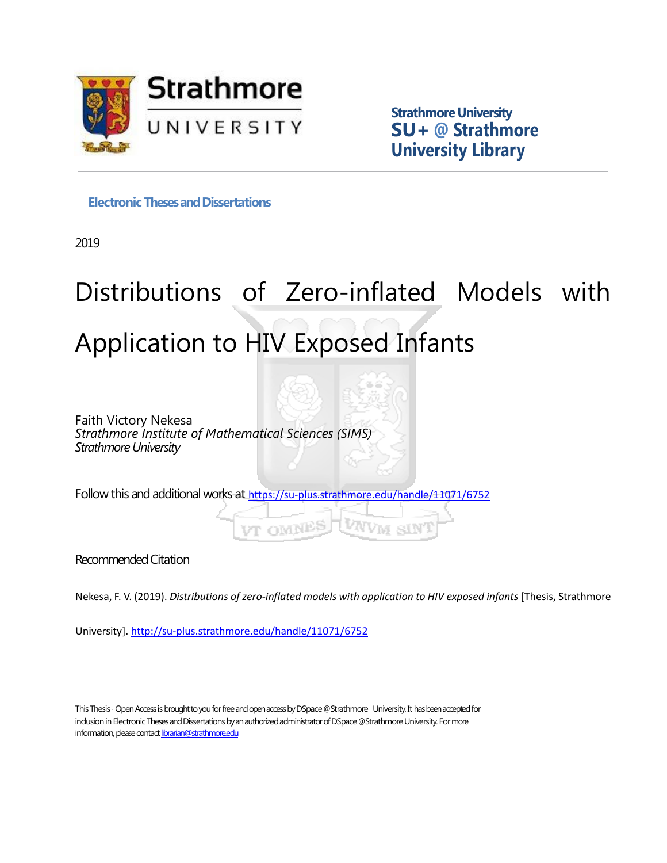

**Strathmore University SU+ @ Strathmore University Library**

**Electronic Theses and Dissertations** 

2019

# Distributions of Zero-inflated Models with Application to HIV Exposed Infants

Faith Victory Nekesa *Strathmore Institute of Mathematical Sciences (SIMS) Strathmore University*

Follow this and additional works at <https://su-plus.strathmore.edu/handle/11071/6752>

**VT OMNES** 

Recommended Citation

Nekesa, F. V. (2019). *Distributions of zero-inflated models with application to HIV exposed infants* [Thesis, Strathmore

University].<http://su-plus.strathmore.edu/handle/11071/6752>

This Thesis - Open Access is brought to you for free and open access by DSpace @Strathmore University. It has been accepted for inclusion in Electronic Theses and Dissertations by an authorized administrator of DSpace @Strathmore University. For more information, please contact librarian@strathmore.edu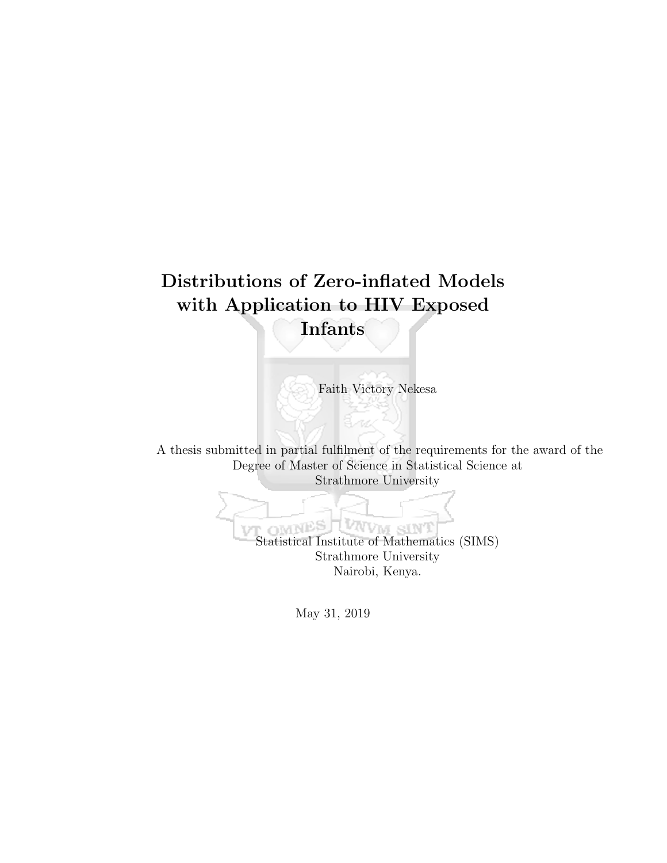## Distributions of Zero-inflated Models with Application to HIV Exposed Infants

Faith Victory Nekesa

A thesis submitted in partial fulfilment of the requirements for the award of the Degree of Master of Science in Statistical Science at Strathmore University

> OTN Statistical Institute of Mathematics (SIMS) Strathmore University Nairobi, Kenya.

> > May 31, 2019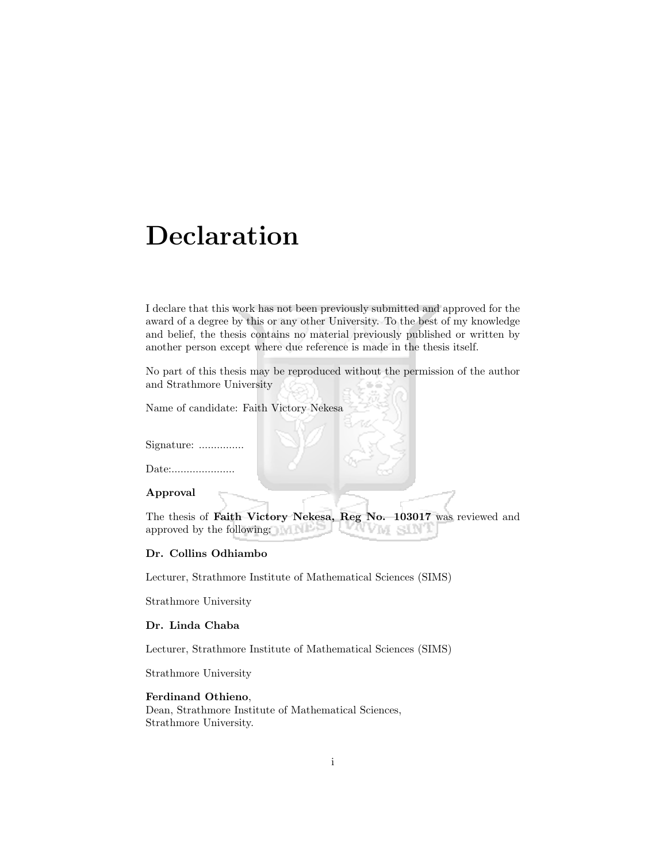## Declaration

I declare that this work has not been previously submitted and approved for the award of a degree by this or any other University. To the best of my knowledge and belief, the thesis contains no material previously published or written by another person except where due reference is made in the thesis itself.

No part of this thesis may be reproduced without the permission of the author and Strathmore University

Name of candidate: Faith Victory Nekesa

Signature: .................

Date:......................

#### Approval

The thesis of Faith Victory Nekesa, Reg No. 103017 was reviewed and approved by the following: **MA STA** 

#### Dr. Collins Odhiambo

Lecturer, Strathmore Institute of Mathematical Sciences (SIMS)

Strathmore University

#### Dr. Linda Chaba

Lecturer, Strathmore Institute of Mathematical Sciences (SIMS)

Strathmore University

#### Ferdinand Othieno,

Dean, Strathmore Institute of Mathematical Sciences, Strathmore University.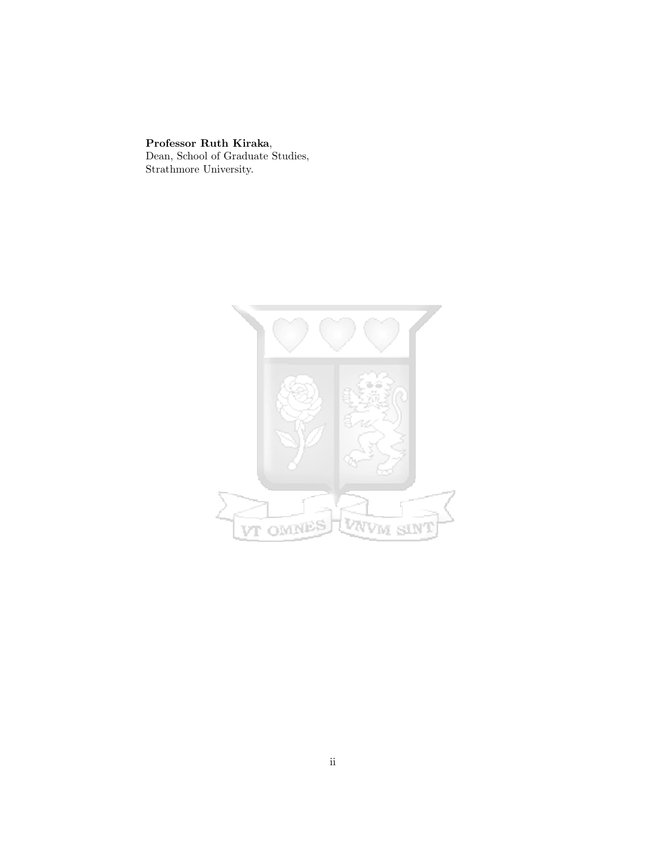## Professor Ruth Kiraka, Dean, School of Graduate Studies,

Strathmore University.

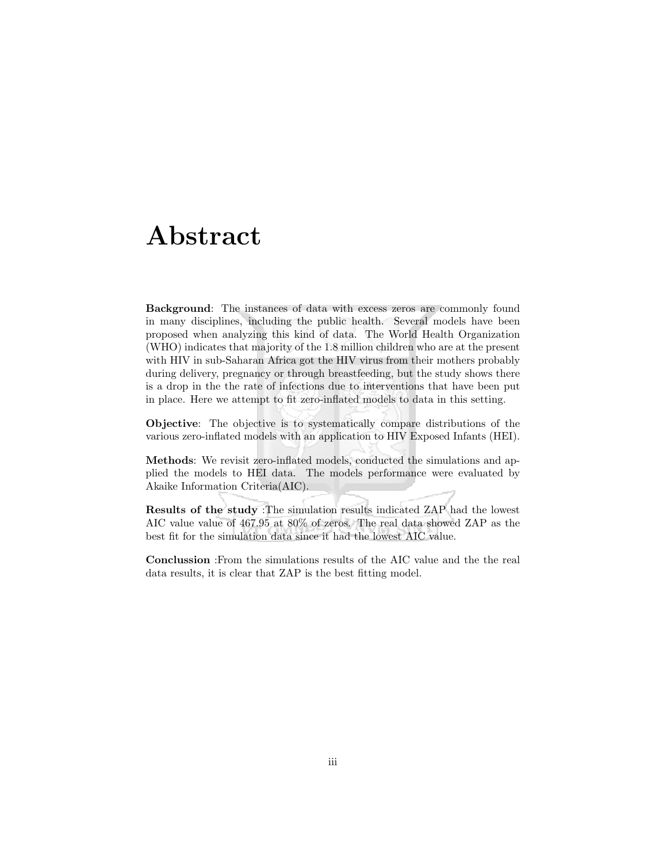## Abstract

Background: The instances of data with excess zeros are commonly found in many disciplines, including the public health. Several models have been proposed when analyzing this kind of data. The World Health Organization (WHO) indicates that majority of the 1.8 million children who are at the present with HIV in sub-Saharan Africa got the HIV virus from their mothers probably during delivery, pregnancy or through breastfeeding, but the study shows there is a drop in the the rate of infections due to interventions that have been put in place. Here we attempt to fit zero-inflated models to data in this setting.

Objective: The objective is to systematically compare distributions of the various zero-inflated models with an application to HIV Exposed Infants (HEI).

Methods: We revisit zero-inflated models, conducted the simulations and applied the models to HEI data. The models performance were evaluated by Akaike Information Criteria(AIC).

Results of the study :The simulation results indicated ZAP had the lowest AIC value value of 467.95 at 80% of zeros. The real data showed ZAP as the best fit for the simulation data since it had the lowest AIC value.

Conclussion :From the simulations results of the AIC value and the the real data results, it is clear that ZAP is the best fitting model.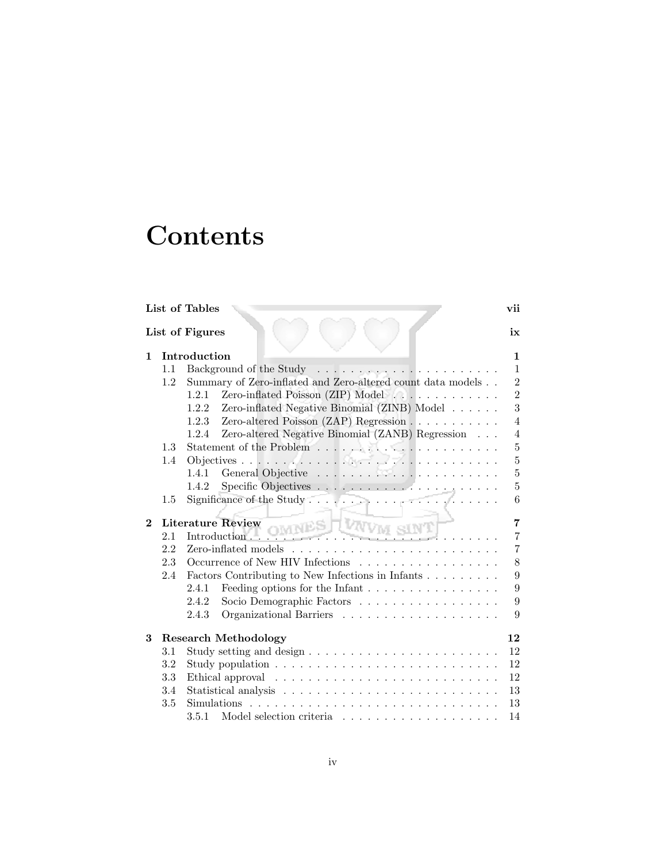# **Contents**

|              |     | List of Tables                                                                        | vii            |
|--------------|-----|---------------------------------------------------------------------------------------|----------------|
|              |     | List of Figures                                                                       | ix             |
| 1            |     | Introduction                                                                          | $\mathbf{1}$   |
|              | 1.1 |                                                                                       | $\mathbf{1}$   |
|              | 1.2 | Summary of Zero-inflated and Zero-altered count data models                           | $\overline{2}$ |
|              |     | Zero-inflated Poisson (ZIP) Model<br>1.2.1                                            | $\overline{2}$ |
|              |     | Zero-inflated Negative Binomial (ZINB) Model $\ldots \ldots$<br>1.2.2                 | 3              |
|              |     | Zero-altered Poisson $(ZAP)$ Regression $\ldots \ldots \ldots$<br>1.2.3               | $\overline{4}$ |
|              |     | Zero-altered Negative Binomial (ZANB) Regression $\ldots$<br>1.2.4                    | $\overline{4}$ |
|              | 1.3 |                                                                                       | $\overline{5}$ |
|              | 1.4 |                                                                                       | $\overline{5}$ |
|              |     | 1.4.1                                                                                 | $\overline{5}$ |
|              |     | 1.4.2                                                                                 | $\overline{5}$ |
|              | 1.5 |                                                                                       | 6              |
| $\mathbf{2}$ |     |                                                                                       | $\overline{7}$ |
|              |     | Literature Review NES VAIVM SINT<br><u> 1975 Station - Le Pa</u>                      | $\overline{7}$ |
|              | 2.2 |                                                                                       | $\overline{7}$ |
|              | 2.3 | Occurrence of New HIV Infections                                                      | 8              |
|              | 2.4 | Factors Contributing to New Infections in Infants                                     | 9              |
|              |     | Feeding options for the Infant $\ldots \ldots \ldots \ldots \ldots$<br>2.4.1          | 9              |
|              |     | Socio Demographic Factors<br>2.4.2                                                    | $\overline{9}$ |
|              |     | 2.4.3                                                                                 | 9              |
| 3            |     | <b>Research Methodology</b>                                                           | 12             |
|              | 3.1 |                                                                                       | 12             |
|              | 3.2 |                                                                                       | 12             |
|              | 3.3 |                                                                                       | 12             |
|              | 3.4 |                                                                                       | 13             |
|              | 3.5 | $Simulations \dots \dots \dots \dots \dots \dots \dots \dots \dots \dots \dots \dots$ | 13             |
|              |     | 3.5.1 Model selection criteria $\ldots \ldots \ldots \ldots \ldots \ldots$            | 14             |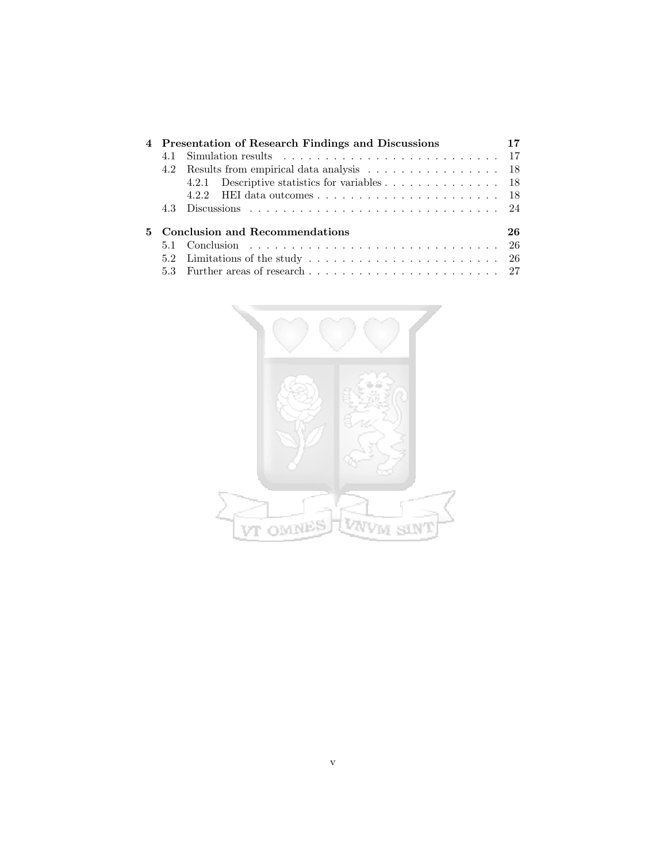|    | 4 Presentation of Research Findings and Discussions |    |
|----|-----------------------------------------------------|----|
|    |                                                     |    |
|    | 4.2 Results from empirical data analysis 18         |    |
|    | 4.2.1 Descriptive statistics for variables 18       |    |
|    |                                                     |    |
|    |                                                     |    |
| 5. | Conclusion and Recommendations                      | 26 |
|    |                                                     |    |
|    |                                                     |    |
|    |                                                     |    |

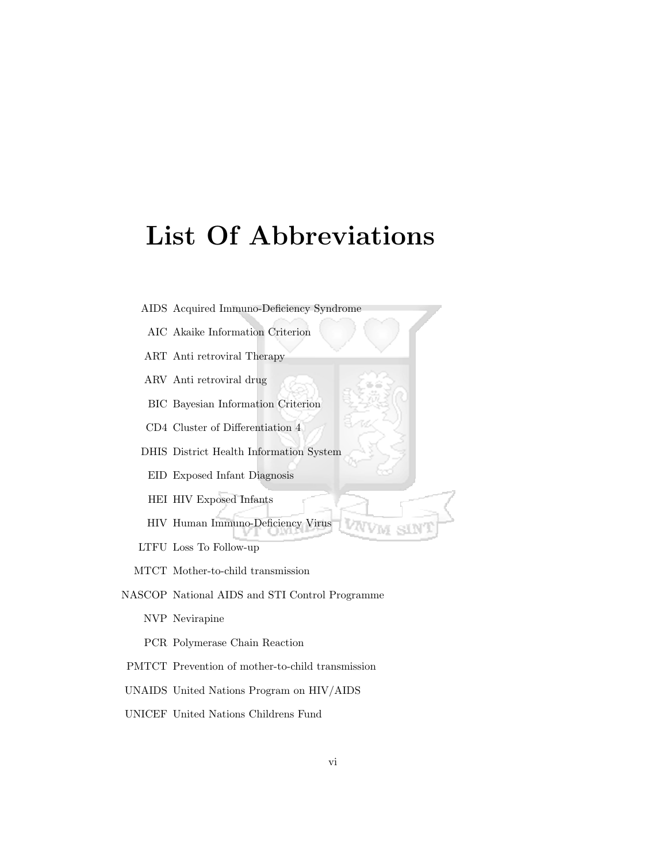# List Of Abbreviations

- AIDS Acquired Immuno-Deficiency Syndrome
- AIC Akaike Information Criterion
- ART Anti retroviral Therapy
- ARV Anti retroviral drug
- BIC Bayesian Information Criterion
- CD4 Cluster of Differentiation 4
- DHIS District Health Information System
- EID Exposed Infant Diagnosis
- HEI HIV Exposed Infants
- HIV Human Immuno-Deficiency Virus
- LTFU Loss To Follow-up
- MTCT Mother-to-child transmission
- NASCOP National AIDS and STI Control Programme
	- NVP Nevirapine
	- PCR Polymerase Chain Reaction
- PMTCT Prevention of mother-to-child transmission
- UNAIDS United Nations Program on HIV/AIDS
- UNICEF United Nations Childrens Fund

VW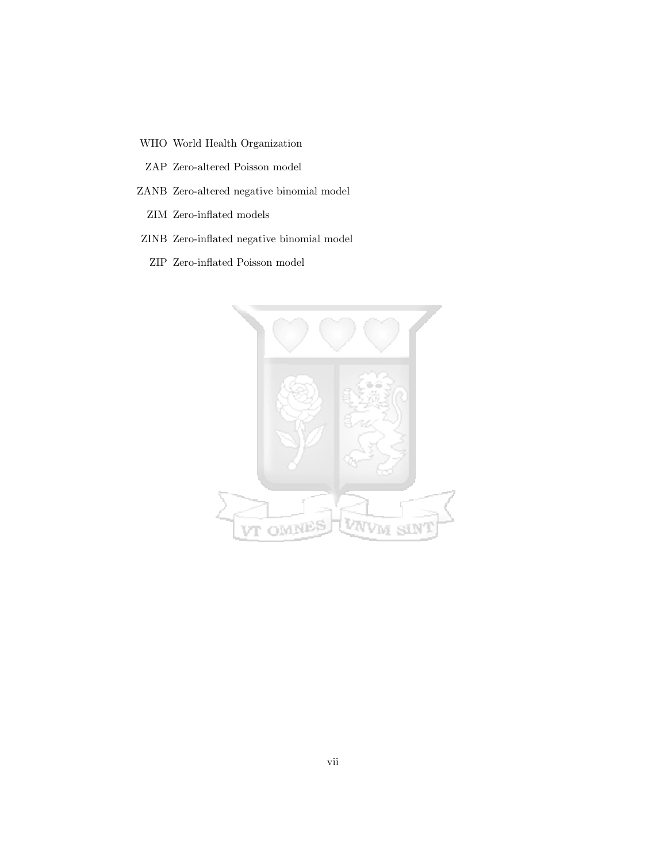WHO World Health Organization

ZAP Zero-altered Poisson model

- ZANB Zero-altered negative binomial model
	- ZIM Zero-inflated models
- ZINB Zero-inflated negative binomial model
	- ZIP Zero-inflated Poisson model

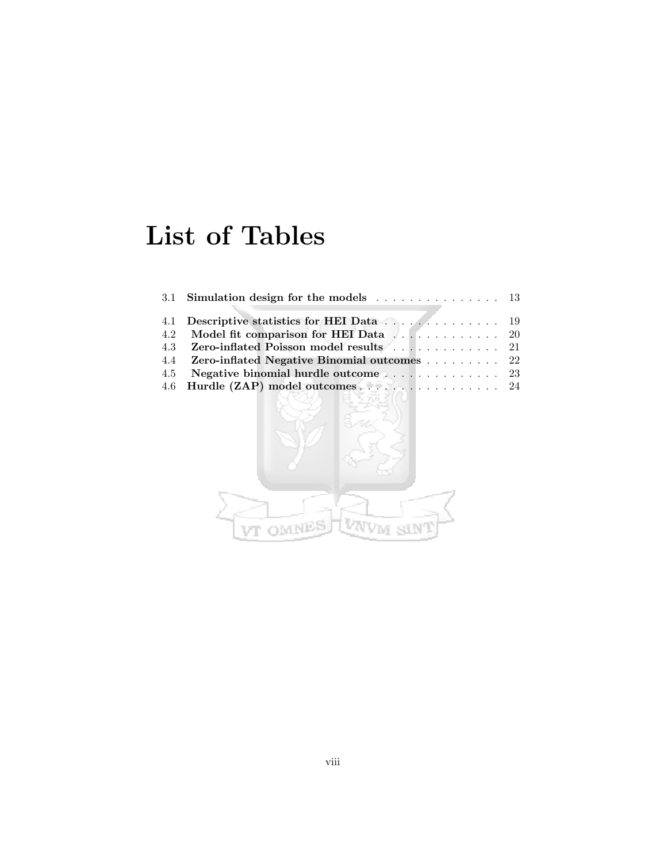# List of Tables

| 3.1 Simulation design for the models $\ldots \ldots \ldots \ldots \ldots$ 13 |  |
|------------------------------------------------------------------------------|--|
|                                                                              |  |
|                                                                              |  |
| 4.2 Model fit comparison for HEI Data 20                                     |  |
| 4.3 Zero-inflated Poisson model results 21                                   |  |
| 4.4 Zero-inflated Negative Binomial outcomes  22                             |  |
|                                                                              |  |
| 4.6 Hurdle (ZAP) model outcomes 24                                           |  |
|                                                                              |  |

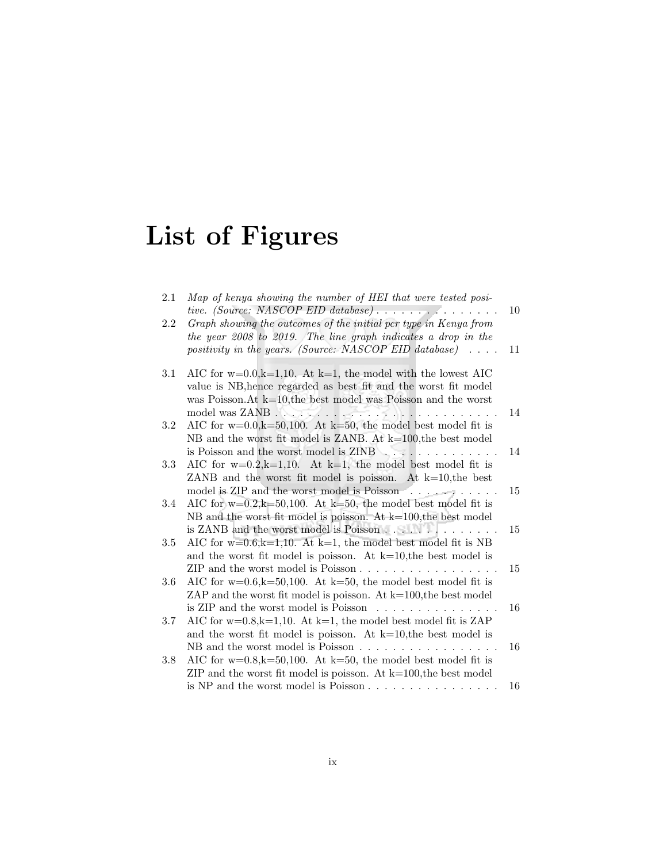# List of Figures

| 2.1     | Map of kenya showing the number of HEI that were tested posi-           |        |
|---------|-------------------------------------------------------------------------|--------|
|         |                                                                         | 10     |
| 2.2     | Graph showing the outcomes of the initial pcr type in Kenya from        |        |
|         | the year 2008 to 2019. The line graph indicates a drop in the           |        |
|         | positivity in the years. (Source: NASCOP EID database) $\ldots$ .       | 11     |
| 3.1     | AIC for $w=0.0, k=1, 10$ . At $k=1$ , the model with the lowest AIC     |        |
|         | value is NB, hence regarded as best fit and the worst fit model         |        |
|         | was Poisson. At $k=10$ , the best model was Poisson and the worst       |        |
|         |                                                                         | 14     |
| $3.2\,$ | AIC for $w=0.0$ , $k=50,100$ . At $k=50$ , the model best model fit is  |        |
|         | NB and the worst fit model is ZANB. At $k=100$ , the best model         |        |
|         |                                                                         | 14     |
| 3.3     | AIC for $w=0.2, k=1, 10$ . At $k=1$ , the model best model fit is       |        |
|         | ZANB and the worst fit model is poisson. At $k=10$ , the best           |        |
|         | model is ZIP and the worst model is Poisson                             | 15     |
| 3.4     | AIC for $w=0.2, k=50, 100$ . At $k=50$ , the model best model fit is    |        |
|         | NB and the worst fit model is poisson. At $k=100$ , the best model      |        |
|         | is ZANB and the worst model is Poisson                                  | 15     |
| 3.5     | AIC for w=0.6,k=1,10. At k=1, the model best model fit is NB            |        |
|         | and the worst fit model is poisson. At $k=10$ , the best model is       |        |
|         |                                                                         | $15\,$ |
| 3.6     | AIC for $w=0.6$ , $k=50,100$ . At $k=50$ , the model best model fit is  |        |
|         | ZAP and the worst fit model is poisson. At $k=100$ , the best model     |        |
|         | is ZIP and the worst model is Poisson $\dots \dots \dots \dots \dots$   | 16     |
| 3.7     | AIC for $w=0.8$ , k=1,10. At k=1, the model best model fit is ZAP       |        |
|         | and the worst fit model is poisson. At $k=10$ , the best model is       |        |
|         | NB and the worst model is Poisson                                       | 16     |
| 3.8     | AIC for $w=0.8$ , $k=50$ , 100. At $k=50$ , the model best model fit is |        |
|         | ZIP and the worst fit model is poisson. At $k=100$ , the best model     |        |
|         |                                                                         | 16     |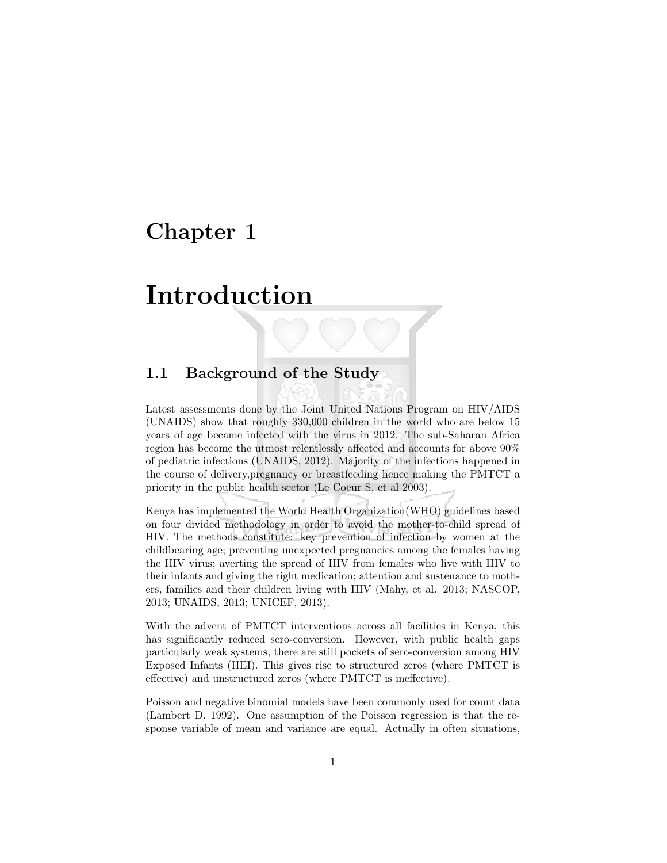## Chapter 1

## Introduction

## 1.1 Background of the Study

Latest assessments done by the Joint United Nations Program on HIV/AIDS (UNAIDS) show that roughly 330,000 children in the world who are below 15 years of age became infected with the virus in 2012. The sub-Saharan Africa region has become the utmost relentlessly affected and accounts for above 90% of pediatric infections (UNAIDS, 2012). Majority of the infections happened in the course of delivery,pregnancy or breastfeeding hence making the PMTCT a priority in the public health sector (Le Coeur S, et al 2003).

Kenya has implemented the World Health Organization(WHO) guidelines based on four divided methodology in order to avoid the mother-to-child spread of HIV. The methods constitute: key prevention of infection by women at the childbearing age; preventing unexpected pregnancies among the females having the HIV virus; averting the spread of HIV from females who live with HIV to their infants and giving the right medication; attention and sustenance to mothers, families and their children living with HIV (Mahy, et al. 2013; NASCOP, 2013; UNAIDS, 2013; UNICEF, 2013).

With the advent of PMTCT interventions across all facilities in Kenya, this has significantly reduced sero-conversion. However, with public health gaps particularly weak systems, there are still pockets of sero-conversion among HIV Exposed Infants (HEI). This gives rise to structured zeros (where PMTCT is effective) and unstructured zeros (where PMTCT is ineffective).

Poisson and negative binomial models have been commonly used for count data (Lambert D. 1992). One assumption of the Poisson regression is that the response variable of mean and variance are equal. Actually in often situations,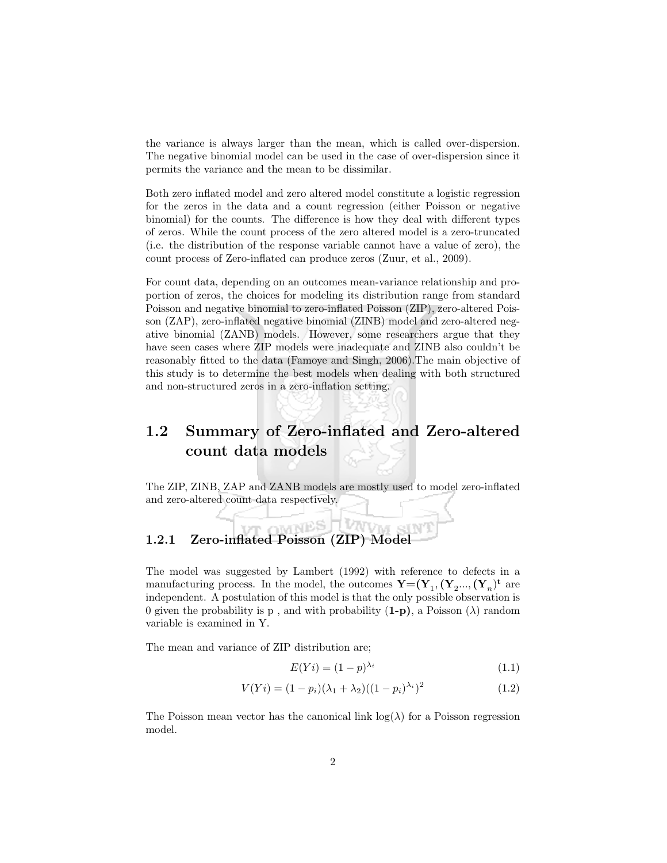the variance is always larger than the mean, which is called over-dispersion. The negative binomial model can be used in the case of over-dispersion since it permits the variance and the mean to be dissimilar.

Both zero inflated model and zero altered model constitute a logistic regression for the zeros in the data and a count regression (either Poisson or negative binomial) for the counts. The difference is how they deal with different types of zeros. While the count process of the zero altered model is a zero-truncated (i.e. the distribution of the response variable cannot have a value of zero), the count process of Zero-inflated can produce zeros (Zuur, et al., 2009).

For count data, depending on an outcomes mean-variance relationship and proportion of zeros, the choices for modeling its distribution range from standard Poisson and negative binomial to zero-inflated Poisson (ZIP), zero-altered Poisson (ZAP), zero-inflated negative binomial (ZINB) model and zero-altered negative binomial (ZANB) models. However, some researchers argue that they have seen cases where ZIP models were inadequate and ZINB also couldn't be reasonably fitted to the data (Famoye and Singh, 2006).The main objective of this study is to determine the best models when dealing with both structured and non-structured zeros in a zero-inflation setting.

## 1.2 Summary of Zero-inflated and Zero-altered count data models

The ZIP, ZINB, ZAP and ZANB models are mostly used to model zero-inflated and zero-altered count data respectively.

#### **Liverville** r omnes 1.2.1 Zero-inflated Poisson (ZIP) Model

The model was suggested by Lambert (1992) with reference to defects in a manufacturing process. In the model, the outcomes  $\mathbf{Y} = (\mathbf{Y}_1, (\mathbf{Y}_2, ..., (\mathbf{Y}_n)^{\mathbf{t}})$  are independent. A postulation of this model is that the only possible observation is 0 given the probability is p, and with probability  $(1-p)$ , a Poisson  $(\lambda)$  random variable is examined in Y.

The mean and variance of ZIP distribution are;

$$
E(Yi) = (1 - p)^{\lambda_i} \tag{1.1}
$$

$$
V(Yi) = (1 - p_i)(\lambda_1 + \lambda_2)((1 - p_i)^{\lambda_i})^2
$$
\n(1.2)

The Poisson mean vector has the canonical link  $log(\lambda)$  for a Poisson regression model.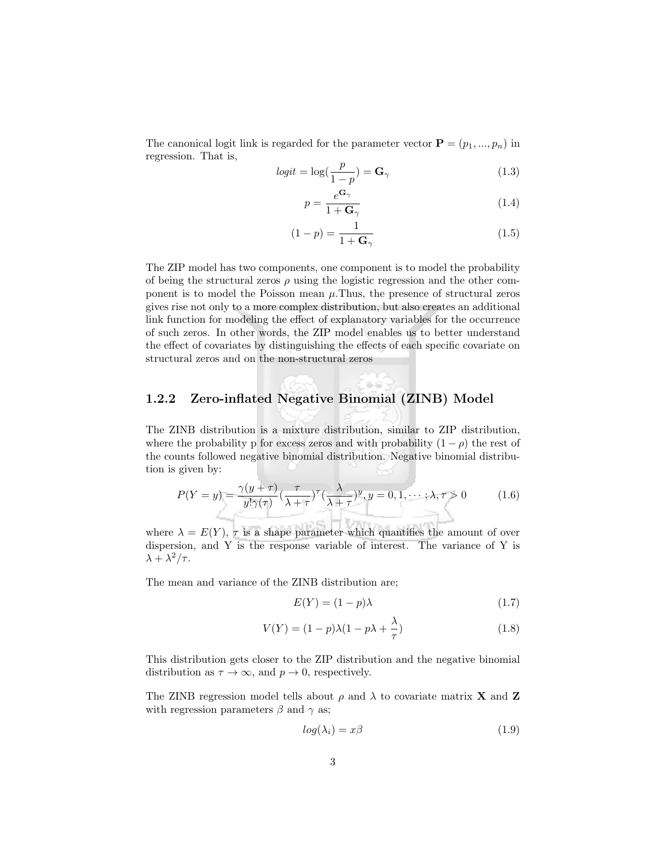The canonical logit link is regarded for the parameter vector  $\mathbf{P} = (p_1, ..., p_n)$  in regression. That is,

$$
logit = \log(\frac{p}{1-p}) = \mathbf{G}_{\gamma}
$$
\n(1.3)

$$
p = \frac{e^{\mathbf{G}_{\gamma}}}{1 + \mathbf{G}_{\gamma}} \tag{1.4}
$$

$$
(1-p) = \frac{1}{1+\mathbf{G}_{\gamma}}\tag{1.5}
$$

The ZIP model has two components, one component is to model the probability of being the structural zeros  $\rho$  using the logistic regression and the other component is to model the Poisson mean  $\mu$ . Thus, the presence of structural zeros gives rise not only to a more complex distribution, but also creates an additional link function for modeling the effect of explanatory variables for the occurrence of such zeros. In other words, the ZIP model enables us to better understand the effect of covariates by distinguishing the effects of each specific covariate on structural zeros and on the non-structural zeros

### 1.2.2 Zero-inflated Negative Binomial (ZINB) Model

The ZINB distribution is a mixture distribution, similar to ZIP distribution, where the probability p for excess zeros and with probability  $(1 - \rho)$  the rest of the counts followed negative binomial distribution. Negative binomial distribution is given by:

$$
P(Y = y) = \frac{\gamma(y + \tau)}{y! \gamma(\tau)} \left(\frac{\tau}{\lambda + \tau}\right)^{\tau} \left(\frac{\lambda}{\lambda + \tau}\right)^{y}, y = 0, 1, \dots; \lambda, \tau > 0 \tag{1.6}
$$

where  $\lambda = E(Y)$ ,  $\tau$  is a shape parameter which quantifies the amount of over dispersion, and Y is the response variable of interest. The variance of Y is  $\lambda + \lambda^2/\tau$ .

The mean and variance of the ZINB distribution are;

$$
E(Y) = (1 - p)\lambda \tag{1.7}
$$

$$
V(Y) = (1 - p)\lambda(1 - p\lambda + \frac{\lambda}{\tau})
$$
\n(1.8)

This distribution gets closer to the ZIP distribution and the negative binomial distribution as  $\tau \to \infty$ , and  $p \to 0$ , respectively.

The ZINB regression model tells about  $\rho$  and  $\lambda$  to covariate matrix **X** and **Z** with regression parameters  $\beta$  and  $\gamma$  as;

$$
log(\lambda_i) = x\beta \tag{1.9}
$$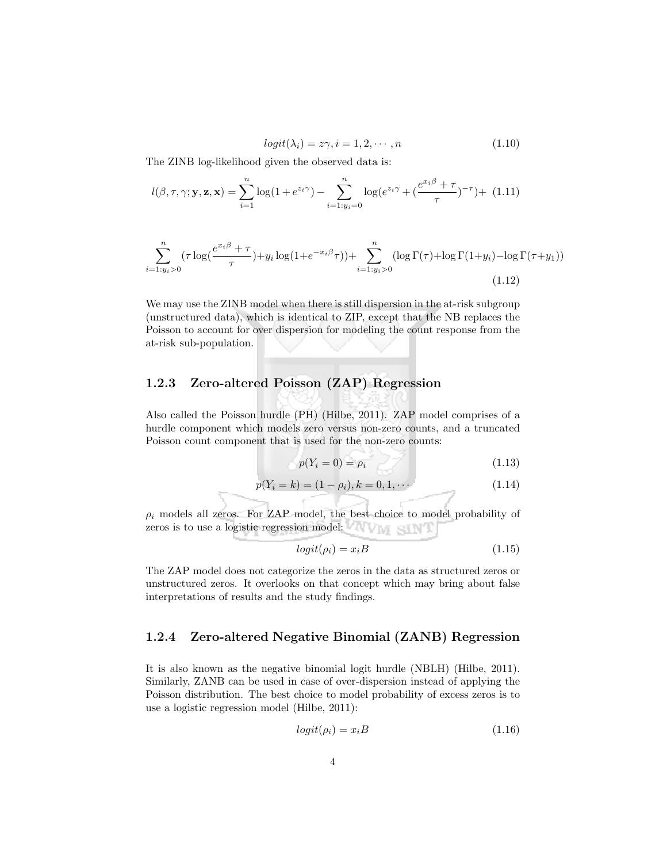$$
logit(\lambda_i) = z\gamma, i = 1, 2, \cdots, n \tag{1.10}
$$

The ZINB log-likelihood given the observed data is:

$$
l(\beta, \tau, \gamma; \mathbf{y}, \mathbf{z}, \mathbf{x}) = \sum_{i=1}^{n} \log(1 + e^{z_i \gamma}) - \sum_{i=1: y_i=0}^{n} \log(e^{z_i \gamma} + (\frac{e^{x_i \beta} + \tau}{\tau})^{-\tau}) + (1.11)
$$

$$
\sum_{i=1:y_i>0}^{n} (\tau \log(\frac{e^{x_i \beta} + \tau}{\tau}) + y_i \log(1 + e^{-x_i \beta} \tau)) + \sum_{i=1:y_i>0}^{n} (\log \Gamma(\tau) + \log \Gamma(1+y_i) - \log \Gamma(\tau+y_1))
$$
\n(1.12)

We may use the ZINB model when there is still dispersion in the at-risk subgroup (unstructured data), which is identical to ZIP, except that the NB replaces the Poisson to account for over dispersion for modeling the count response from the at-risk sub-population.

### 1.2.3 Zero-altered Poisson (ZAP) Regression

Also called the Poisson hurdle (PH) (Hilbe, 2011). ZAP model comprises of a hurdle component which models zero versus non-zero counts, and a truncated Poisson count component that is used for the non-zero counts:

$$
p(Y_i = 0) = \rho_i \tag{1.13}
$$

$$
p(Y_i = k) = (1 - \rho_i), k = 0, 1, \cdots
$$
\n(1.14)

 $\rho_i$  models all zeros. For ZAP model, the best choice to model probability of zeros is to use a logistic regression model:

$$
logit(\rho_i) = x_i B \tag{1.15}
$$

The ZAP model does not categorize the zeros in the data as structured zeros or unstructured zeros. It overlooks on that concept which may bring about false interpretations of results and the study findings.

### 1.2.4 Zero-altered Negative Binomial (ZANB) Regression

It is also known as the negative binomial logit hurdle (NBLH) (Hilbe, 2011). Similarly, ZANB can be used in case of over-dispersion instead of applying the Poisson distribution. The best choice to model probability of excess zeros is to use a logistic regression model (Hilbe, 2011):

$$
logit(\rho_i) = x_i B \tag{1.16}
$$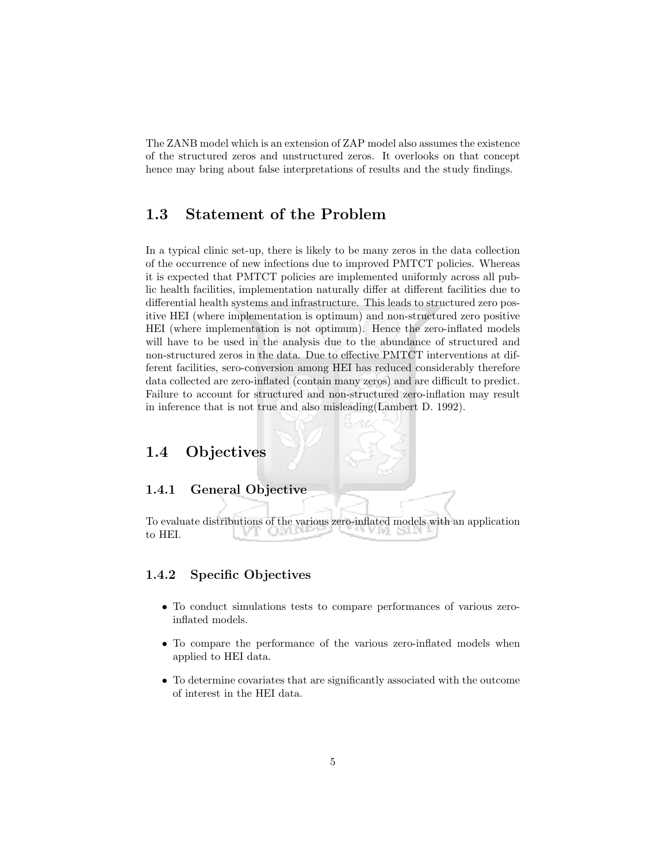The ZANB model which is an extension of ZAP model also assumes the existence of the structured zeros and unstructured zeros. It overlooks on that concept hence may bring about false interpretations of results and the study findings.

## 1.3 Statement of the Problem

In a typical clinic set-up, there is likely to be many zeros in the data collection of the occurrence of new infections due to improved PMTCT policies. Whereas it is expected that PMTCT policies are implemented uniformly across all public health facilities, implementation naturally differ at different facilities due to differential health systems and infrastructure. This leads to structured zero positive HEI (where implementation is optimum) and non-structured zero positive HEI (where implementation is not optimum). Hence the zero-inflated models will have to be used in the analysis due to the abundance of structured and non-structured zeros in the data. Due to effective PMTCT interventions at different facilities, sero-conversion among HEI has reduced considerably therefore data collected are zero-inflated (contain many zeros) and are difficult to predict. Failure to account for structured and non-structured zero-inflation may result in inference that is not true and also misleading(Lambert D. 1992).

## 1.4 Objectives

### 1.4.1 General Objective

To evaluate distributions of the various zero-inflated models with an application to HEI.

### 1.4.2 Specific Objectives

- To conduct simulations tests to compare performances of various zeroinflated models.
- To compare the performance of the various zero-inflated models when applied to HEI data.
- To determine covariates that are significantly associated with the outcome of interest in the HEI data.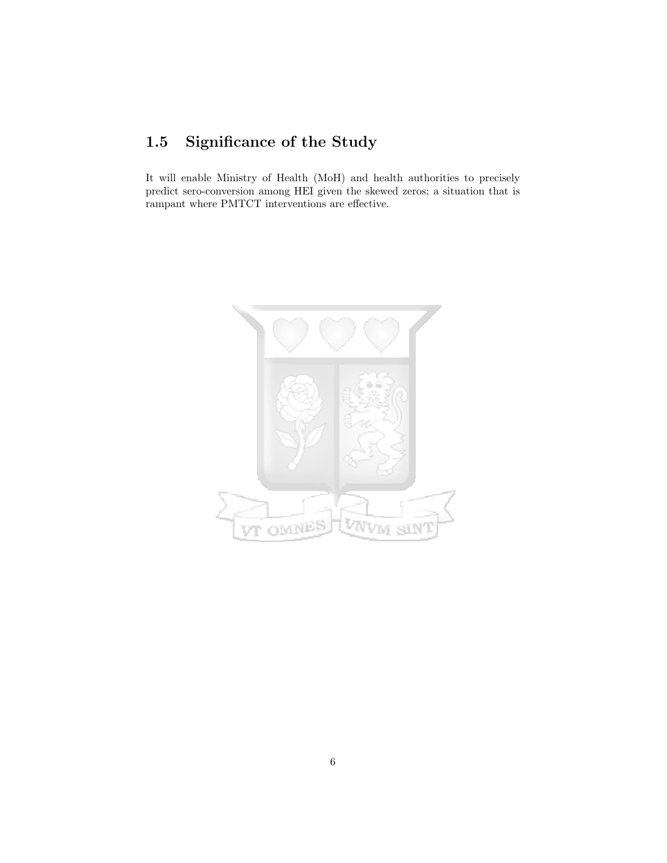## 1.5 Significance of the Study

It will enable Ministry of Health (MoH) and health authorities to precisely predict sero-conversion among HEI given the skewed zeros; a situation that is rampant where PMTCT interventions are effective.

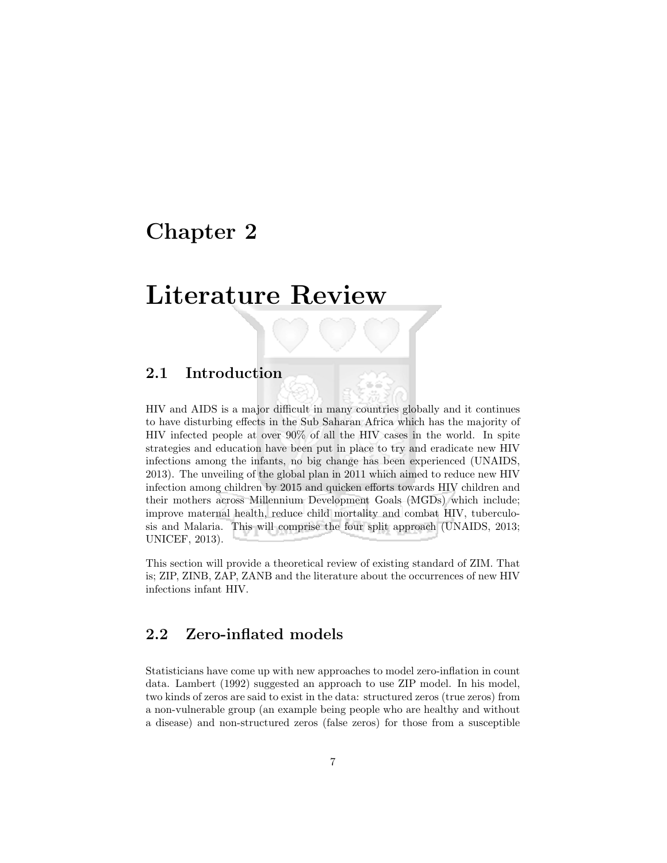## Chapter 2

## Literature Review

## 2.1 Introduction

HIV and AIDS is a major difficult in many countries globally and it continues to have disturbing effects in the Sub Saharan Africa which has the majority of HIV infected people at over 90% of all the HIV cases in the world. In spite strategies and education have been put in place to try and eradicate new HIV infections among the infants, no big change has been experienced (UNAIDS, 2013). The unveiling of the global plan in 2011 which aimed to reduce new HIV infection among children by 2015 and quicken efforts towards HIV children and their mothers across Millennium Development Goals (MGDs) which include; improve maternal health, reduce child mortality and combat HIV, tuberculosis and Malaria. This will comprise the four split approach (UNAIDS, 2013; UNICEF, 2013).

This section will provide a theoretical review of existing standard of ZIM. That is; ZIP, ZINB, ZAP, ZANB and the literature about the occurrences of new HIV infections infant HIV.

## 2.2 Zero-inflated models

Statisticians have come up with new approaches to model zero-inflation in count data. Lambert (1992) suggested an approach to use ZIP model. In his model, two kinds of zeros are said to exist in the data: structured zeros (true zeros) from a non-vulnerable group (an example being people who are healthy and without a disease) and non-structured zeros (false zeros) for those from a susceptible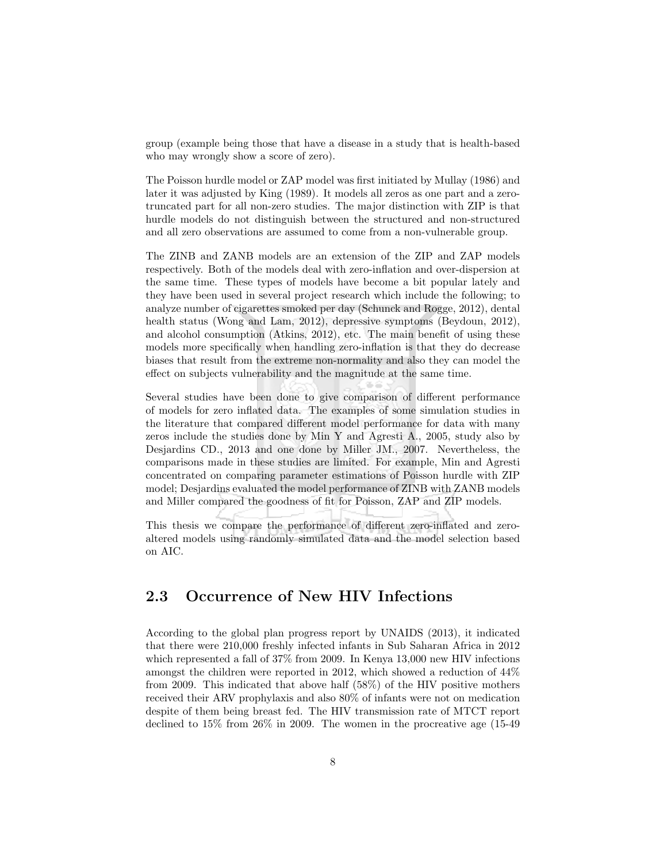group (example being those that have a disease in a study that is health-based who may wrongly show a score of zero).

The Poisson hurdle model or ZAP model was first initiated by Mullay (1986) and later it was adjusted by King (1989). It models all zeros as one part and a zerotruncated part for all non-zero studies. The major distinction with ZIP is that hurdle models do not distinguish between the structured and non-structured and all zero observations are assumed to come from a non-vulnerable group.

The ZINB and ZANB models are an extension of the ZIP and ZAP models respectively. Both of the models deal with zero-inflation and over-dispersion at the same time. These types of models have become a bit popular lately and they have been used in several project research which include the following; to analyze number of cigarettes smoked per day (Schunck and Rogge, 2012), dental health status (Wong and Lam, 2012), depressive symptoms (Beydoun, 2012), and alcohol consumption (Atkins, 2012), etc. The main benefit of using these models more specifically when handling zero-inflation is that they do decrease biases that result from the extreme non-normality and also they can model the effect on subjects vulnerability and the magnitude at the same time.

Several studies have been done to give comparison of different performance of models for zero inflated data. The examples of some simulation studies in the literature that compared different model performance for data with many zeros include the studies done by Min Y and Agresti A., 2005, study also by Desjardins CD., 2013 and one done by Miller JM., 2007. Nevertheless, the comparisons made in these studies are limited. For example, Min and Agresti concentrated on comparing parameter estimations of Poisson hurdle with ZIP model; Desjardins evaluated the model performance of ZINB with ZANB models and Miller compared the goodness of fit for Poisson, ZAP and ZIP models.

This thesis we compare the performance of different zero-inflated and zeroaltered models using randomly simulated data and the model selection based on AIC.

## 2.3 Occurrence of New HIV Infections

According to the global plan progress report by UNAIDS (2013), it indicated that there were 210,000 freshly infected infants in Sub Saharan Africa in 2012 which represented a fall of 37% from 2009. In Kenya 13,000 new HIV infections amongst the children were reported in 2012, which showed a reduction of 44% from 2009. This indicated that above half (58%) of the HIV positive mothers received their ARV prophylaxis and also 80% of infants were not on medication despite of them being breast fed. The HIV transmission rate of MTCT report declined to 15% from 26% in 2009. The women in the procreative age (15-49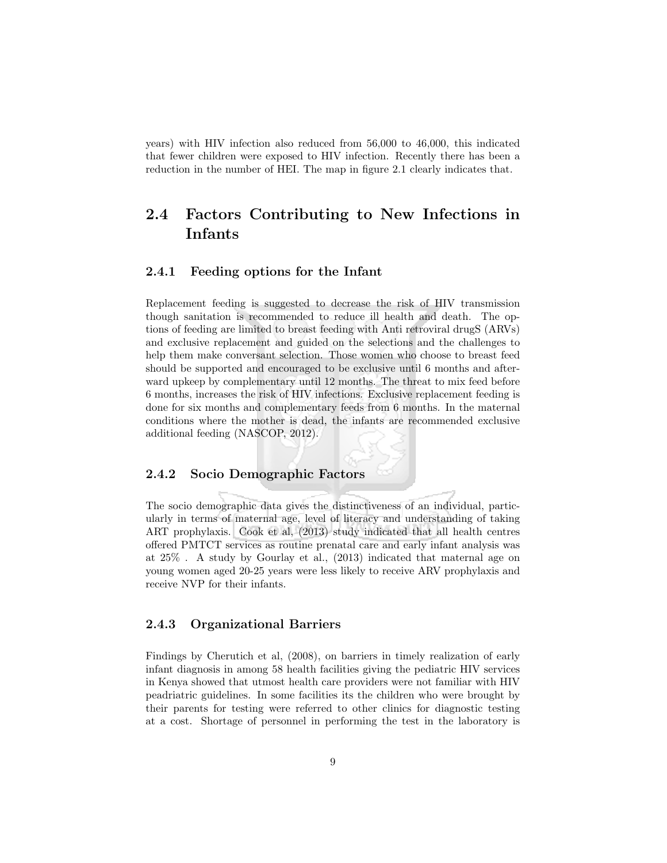years) with HIV infection also reduced from 56,000 to 46,000, this indicated that fewer children were exposed to HIV infection. Recently there has been a reduction in the number of HEI. The map in figure 2.1 clearly indicates that.

## 2.4 Factors Contributing to New Infections in Infants

### 2.4.1 Feeding options for the Infant

Replacement feeding is suggested to decrease the risk of HIV transmission though sanitation is recommended to reduce ill health and death. The options of feeding are limited to breast feeding with Anti retroviral drugS (ARVs) and exclusive replacement and guided on the selections and the challenges to help them make conversant selection. Those women who choose to breast feed should be supported and encouraged to be exclusive until 6 months and afterward upkeep by complementary until 12 months. The threat to mix feed before 6 months, increases the risk of HIV infections. Exclusive replacement feeding is done for six months and complementary feeds from 6 months. In the maternal conditions where the mother is dead, the infants are recommended exclusive additional feeding (NASCOP, 2012).

#### 2.4.2 Socio Demographic Factors

The socio demographic data gives the distinctiveness of an individual, particularly in terms of maternal age, level of literacy and understanding of taking ART prophylaxis. Cook et al, (2013) study indicated that all health centres offered PMTCT services as routine prenatal care and early infant analysis was at 25% . A study by Gourlay et al., (2013) indicated that maternal age on young women aged 20-25 years were less likely to receive ARV prophylaxis and receive NVP for their infants.

### 2.4.3 Organizational Barriers

Findings by Cherutich et al, (2008), on barriers in timely realization of early infant diagnosis in among 58 health facilities giving the pediatric HIV services in Kenya showed that utmost health care providers were not familiar with HIV peadriatric guidelines. In some facilities its the children who were brought by their parents for testing were referred to other clinics for diagnostic testing at a cost. Shortage of personnel in performing the test in the laboratory is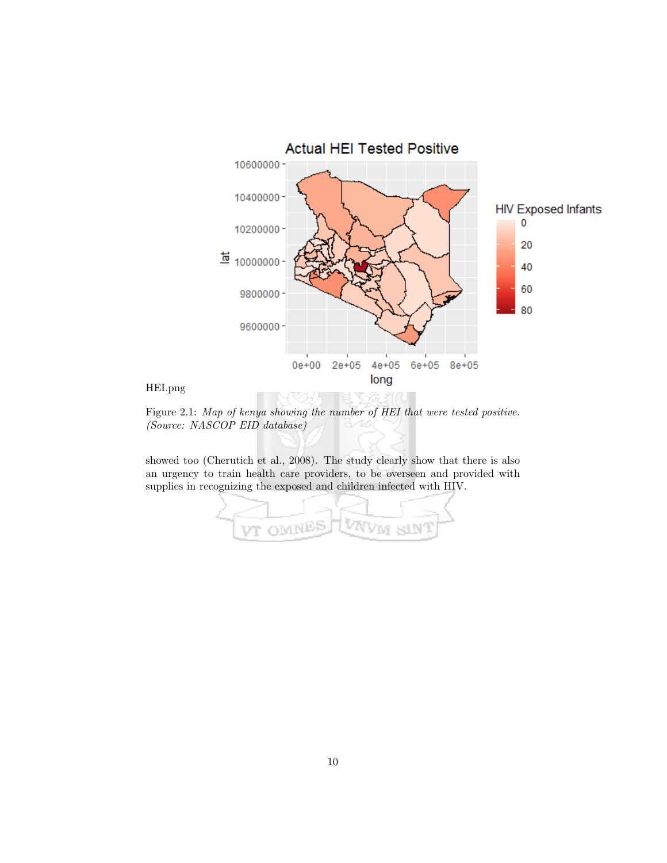

Figure 2.1: Map of kenya showing the number of HEI that were tested positive. (Source: NASCOP EID database)

showed too (Cherutich et al., 2008). The study clearly show that there is also an urgency to train health care providers, to be overseen and provided with supplies in recognizing the exposed and children infected with HIV.

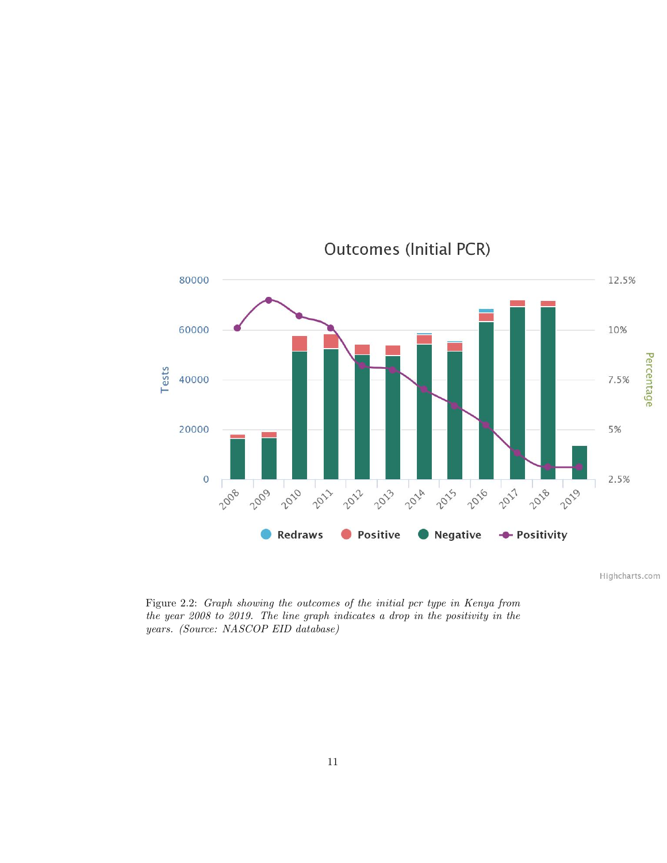

**Outcomes (Initial PCR)** 

Highcharts.com

Figure 2.2: Graph showing the outcomes of the initial pcr type in Kenya from the year 2008 to 2019. The line graph indicates a drop in the positivity in the years. (Source: NASCOP EID database)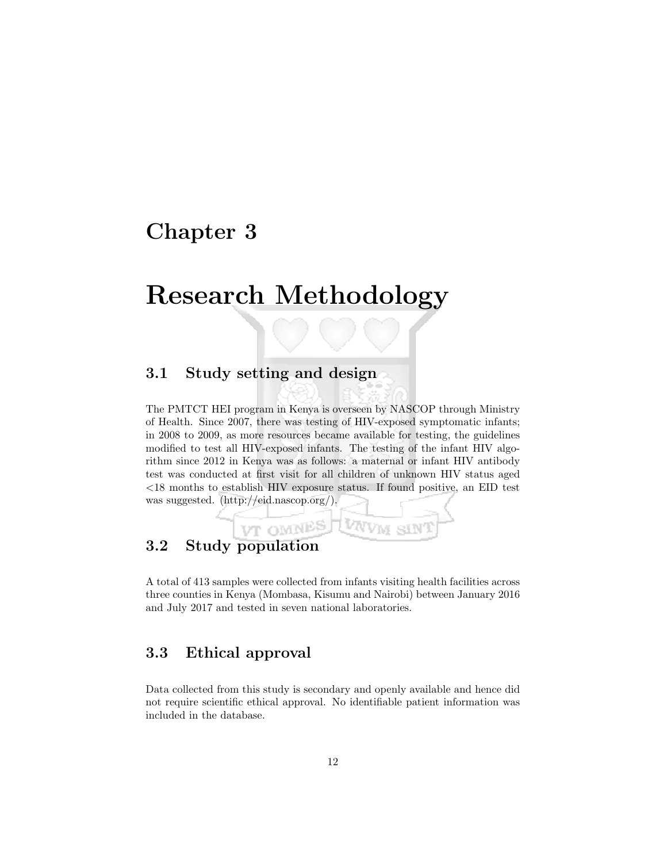## Chapter 3

## Research Methodology

## 3.1 Study setting and design

VT OMNES

The PMTCT HEI program in Kenya is overseen by NASCOP through Ministry of Health. Since 2007, there was testing of HIV-exposed symptomatic infants; in 2008 to 2009, as more resources became available for testing, the guidelines modified to test all HIV-exposed infants. The testing of the infant HIV algorithm since 2012 in Kenya was as follows: a maternal or infant HIV antibody test was conducted at first visit for all children of unknown HIV status aged <18 months to establish HIV exposure status. If found positive, an EID test was suggested. (http://eid.nascop.org/).

## 3.2 Study population

A total of 413 samples were collected from infants visiting health facilities across three counties in Kenya (Mombasa, Kisumu and Nairobi) between January 2016 and July 2017 and tested in seven national laboratories.

VNVM SIN

## 3.3 Ethical approval

Data collected from this study is secondary and openly available and hence did not require scientific ethical approval. No identifiable patient information was included in the database.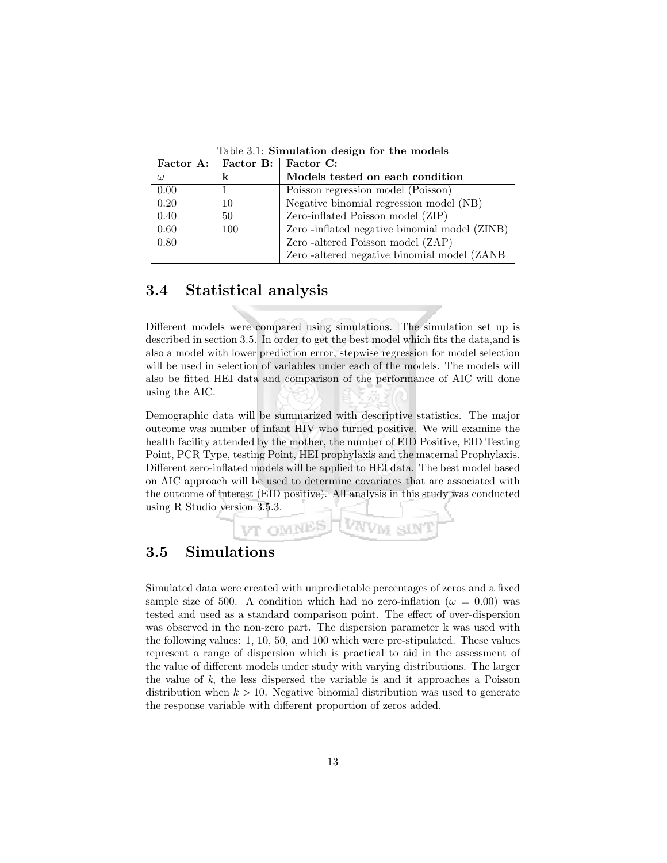|          | Factor A: $\vert$ Factor B: $\vert$ | Factor C:                                    |
|----------|-------------------------------------|----------------------------------------------|
| $\omega$ | k                                   | Models tested on each condition              |
| 0.00     |                                     | Poisson regression model (Poisson)           |
| 0.20     | 10                                  | Negative binomial regression model (NB)      |
| 0.40     | 50                                  | Zero-inflated Poisson model (ZIP)            |
| 0.60     | 100                                 | Zero-inflated negative binomial model (ZINB) |
| 0.80     |                                     | Zero - altered Poisson model (ZAP)           |
|          |                                     | Zero-altered negative binomial model (ZANB)  |

Table 3.1: Simulation design for the models

## 3.4 Statistical analysis

Different models were compared using simulations. The simulation set up is described in section 3.5. In order to get the best model which fits the data,and is also a model with lower prediction error, stepwise regression for model selection will be used in selection of variables under each of the models. The models will also be fitted HEI data and comparison of the performance of AIC will done using the AIC.

Demographic data will be summarized with descriptive statistics. The major outcome was number of infant HIV who turned positive. We will examine the health facility attended by the mother, the number of EID Positive, EID Testing Point, PCR Type, testing Point, HEI prophylaxis and the maternal Prophylaxis. Different zero-inflated models will be applied to HEI data. The best model based on AIC approach will be used to determine covariates that are associated with the outcome of interest (EID positive). All analysis in this study was conducted using R Studio version 3.5.3.



### 3.5 Simulations

Simulated data were created with unpredictable percentages of zeros and a fixed sample size of 500. A condition which had no zero-inflation ( $\omega = 0.00$ ) was tested and used as a standard comparison point. The effect of over-dispersion was observed in the non-zero part. The dispersion parameter k was used with the following values: 1, 10, 50, and 100 which were pre-stipulated. These values represent a range of dispersion which is practical to aid in the assessment of the value of different models under study with varying distributions. The larger the value of k, the less dispersed the variable is and it approaches a Poisson distribution when  $k > 10$ . Negative binomial distribution was used to generate the response variable with different proportion of zeros added.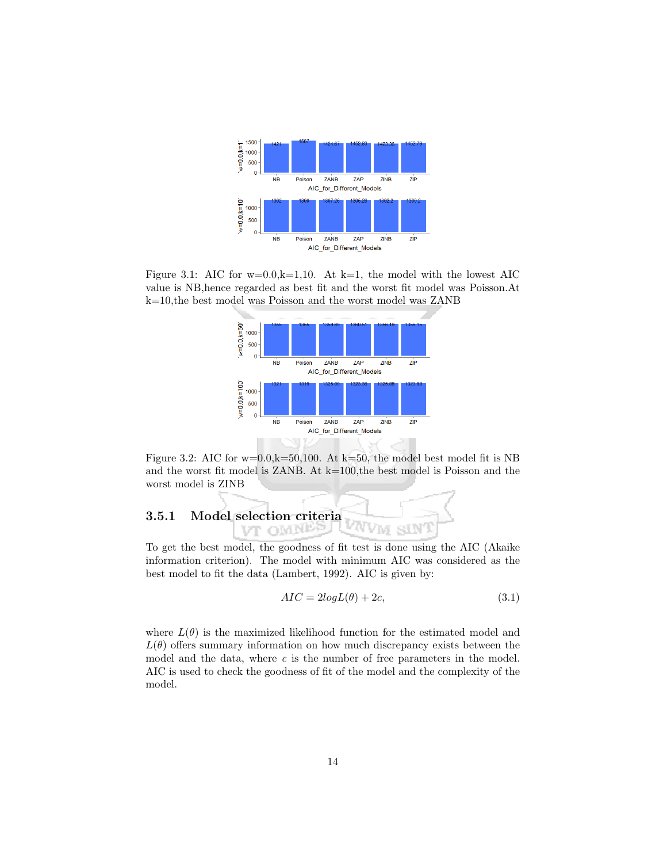

Figure 3.1: AIC for  $w=0.0, k=1,10$ . At  $k=1$ , the model with the lowest AIC value is NB,hence regarded as best fit and the worst fit model was Poisson.At k=10,the best model was Poisson and the worst model was ZANB



Figure 3.2: AIC for  $w=0.0$ ,  $k=50,100$ . At  $k=50$ , the model best model fit is NB and the worst fit model is ZANB. At k=100,the best model is Poisson and the worst model is ZINB

#### 3.5.1 Model selection criteria SIN **OMN** VM VT

To get the best model, the goodness of fit test is done using the AIC (Akaike information criterion). The model with minimum AIC was considered as the best model to fit the data (Lambert, 1992). AIC is given by:

$$
AIC = 2logL(\theta) + 2c,\t\t(3.1)
$$

where  $L(\theta)$  is the maximized likelihood function for the estimated model and  $L(\theta)$  offers summary information on how much discrepancy exists between the model and the data, where  $c$  is the number of free parameters in the model. AIC is used to check the goodness of fit of the model and the complexity of the model.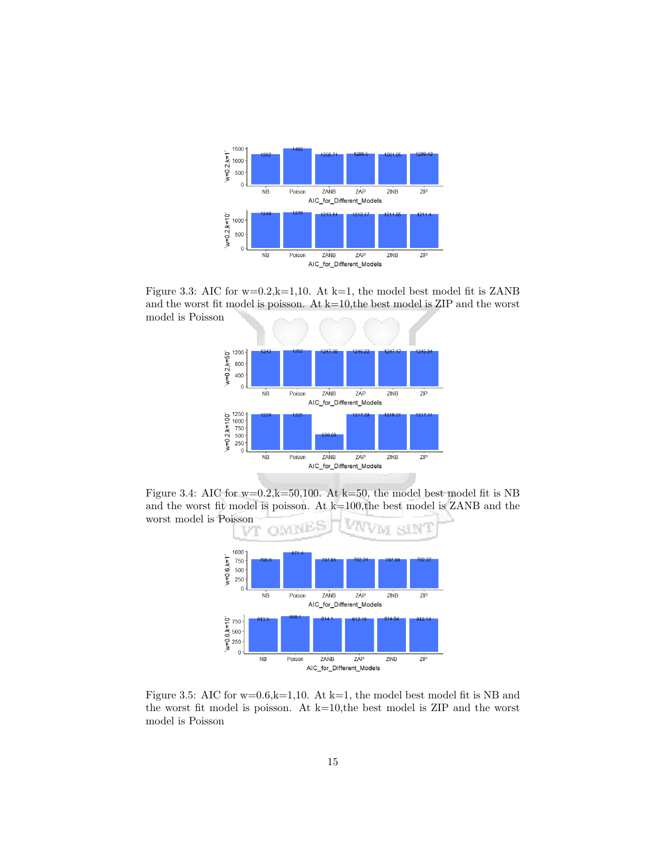

Figure 3.3: AIC for  $w=0.2$ , $k=1,10$ . At  $k=1$ , the model best model fit is ZANB and the worst fit model is poisson. At  $k=10$ , the best model is ZIP and the worst model is Poisson



Figure 3.4: AIC for  $w=0.2$ ,  $k=50,100$ . At  $k=50$ , the model best model fit is NB and the worst fit model is poisson. At  $k=100$ , the best model is ZANB and the worst model is Poisson



Figure 3.5: AIC for  $w=0.6$ ,  $k=1,10$ . At  $k=1$ , the model best model fit is NB and the worst fit model is poisson. At  $k=10$ , the best model is ZIP and the worst model is Poisson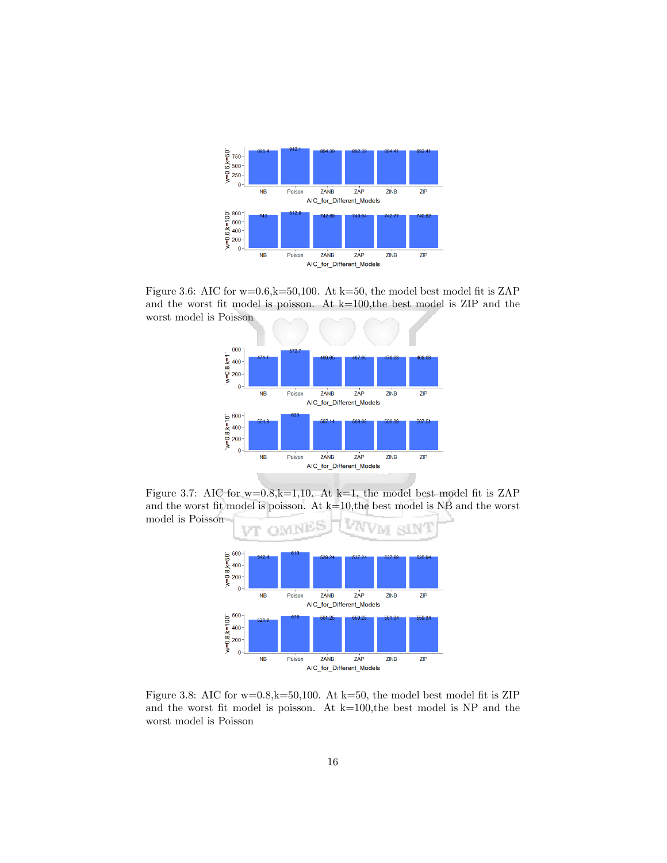

Figure 3.6: AIC for w=0.6,k=50,100. At k=50, the model best model fit is ZAP and the worst fit model is poisson. At k=100,the best model is ZIP and the worst model is Poisson



Figure 3.7: AIC for  $w=0.8$ ,k=1,10. At k=1, the model best model fit is ZAP and the worst fit model is poisson. At  $k=10$ , the best model is NB and the worst



Figure 3.8: AIC for w=0.8,k=50,100. At k=50, the model best model fit is ZIP and the worst fit model is poisson. At  $k=100$ , the best model is NP and the worst model is Poisson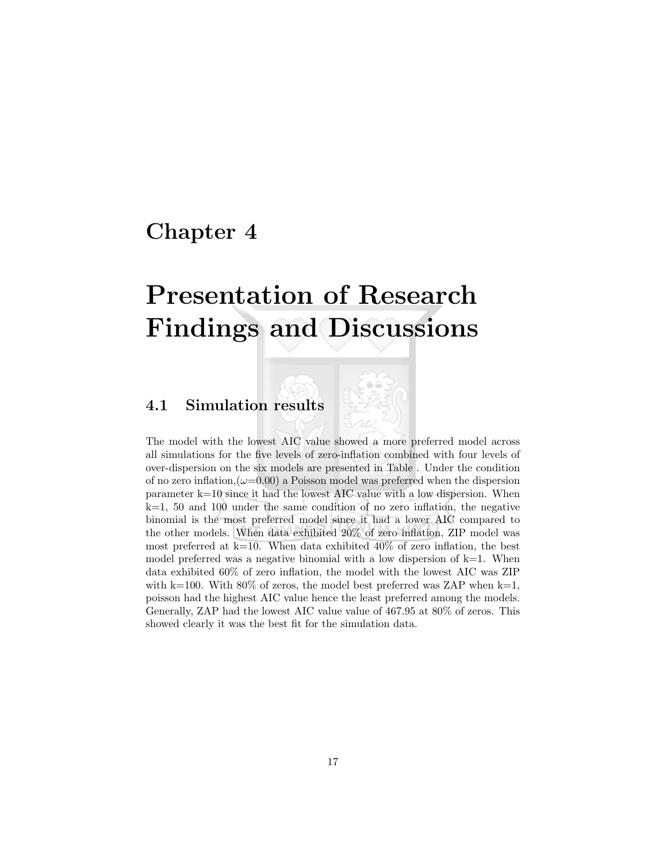## Chapter 4

# Presentation of Research Findings and Discussions

## 4.1 Simulation results

The model with the lowest AIC value showed a more preferred model across all simulations for the five levels of zero-inflation combined with four levels of over-dispersion on the six models are presented in Table . Under the condition of no zero inflation, $(\omega=0.00)$  a Poisson model was preferred when the dispersion parameter k=10 since it had the lowest AIC value with a low dispersion. When  $k=1$ , 50 and 100 under the same condition of no zero inflation, the negative binomial is the most preferred model since it had a lower AIC compared to the other models. When data exhibited 20% of zero inflation, ZIP model was most preferred at  $k=10$ . When data exhibited 40% of zero inflation, the best model preferred was a negative binomial with a low dispersion of  $k=1$ . When data exhibited 60% of zero inflation, the model with the lowest AIC was ZIP with k=100. With 80% of zeros, the model best preferred was ZAP when k=1, poisson had the highest AIC value hence the least preferred among the models. Generally, ZAP had the lowest AIC value value of 467.95 at 80% of zeros. This showed clearly it was the best fit for the simulation data.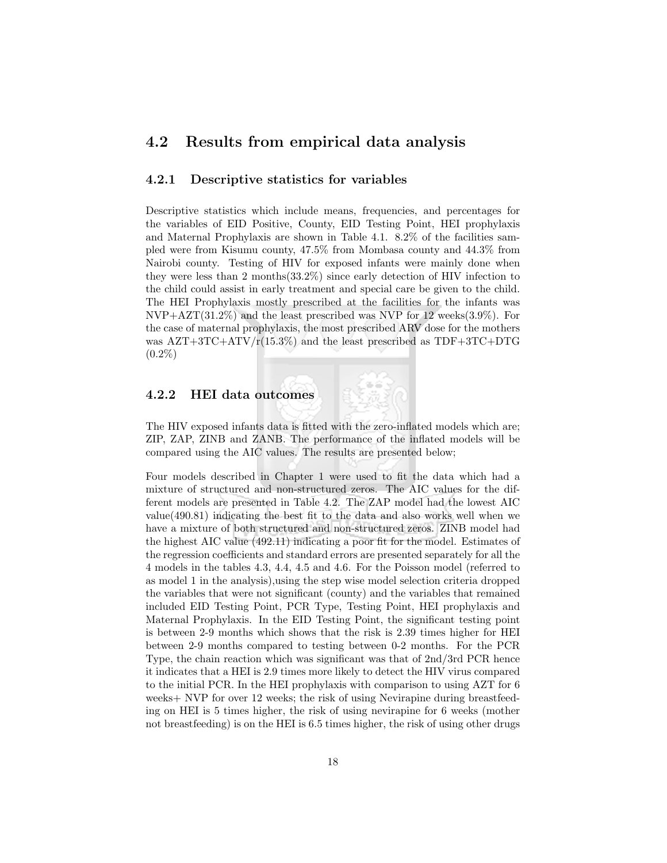## 4.2 Results from empirical data analysis

### 4.2.1 Descriptive statistics for variables

Descriptive statistics which include means, frequencies, and percentages for the variables of EID Positive, County, EID Testing Point, HEI prophylaxis and Maternal Prophylaxis are shown in Table 4.1. 8.2% of the facilities sampled were from Kisumu county, 47.5% from Mombasa county and 44.3% from Nairobi county. Testing of HIV for exposed infants were mainly done when they were less than 2 months(33.2%) since early detection of HIV infection to the child could assist in early treatment and special care be given to the child. The HEI Prophylaxis mostly prescribed at the facilities for the infants was  $NVP+AZT(31.2\%)$  and the least prescribed was NVP for 12 weeks(3.9%). For the case of maternal prophylaxis, the most prescribed ARV dose for the mothers was  $AZT+3TC+ATV/r(15.3%)$  and the least prescribed as  $TDF+3TC+DTG$  $(0.2\%)$ 

### 4.2.2 HEI data outcomes



Four models described in Chapter 1 were used to fit the data which had a mixture of structured and non-structured zeros. The AIC values for the different models are presented in Table 4.2. The ZAP model had the lowest AIC value(490.81) indicating the best fit to the data and also works well when we have a mixture of both structured and non-structured zeros. ZINB model had the highest AIC value (492.11) indicating a poor fit for the model. Estimates of the regression coefficients and standard errors are presented separately for all the 4 models in the tables 4.3, 4.4, 4.5 and 4.6. For the Poisson model (referred to as model 1 in the analysis),using the step wise model selection criteria dropped the variables that were not significant (county) and the variables that remained included EID Testing Point, PCR Type, Testing Point, HEI prophylaxis and Maternal Prophylaxis. In the EID Testing Point, the significant testing point is between 2-9 months which shows that the risk is 2.39 times higher for HEI between 2-9 months compared to testing between 0-2 months. For the PCR Type, the chain reaction which was significant was that of 2nd/3rd PCR hence it indicates that a HEI is 2.9 times more likely to detect the HIV virus compared to the initial PCR. In the HEI prophylaxis with comparison to using AZT for 6 weeks+ NVP for over 12 weeks; the risk of using Nevirapine during breastfeeding on HEI is 5 times higher, the risk of using nevirapine for 6 weeks (mother not breastfeeding) is on the HEI is 6.5 times higher, the risk of using other drugs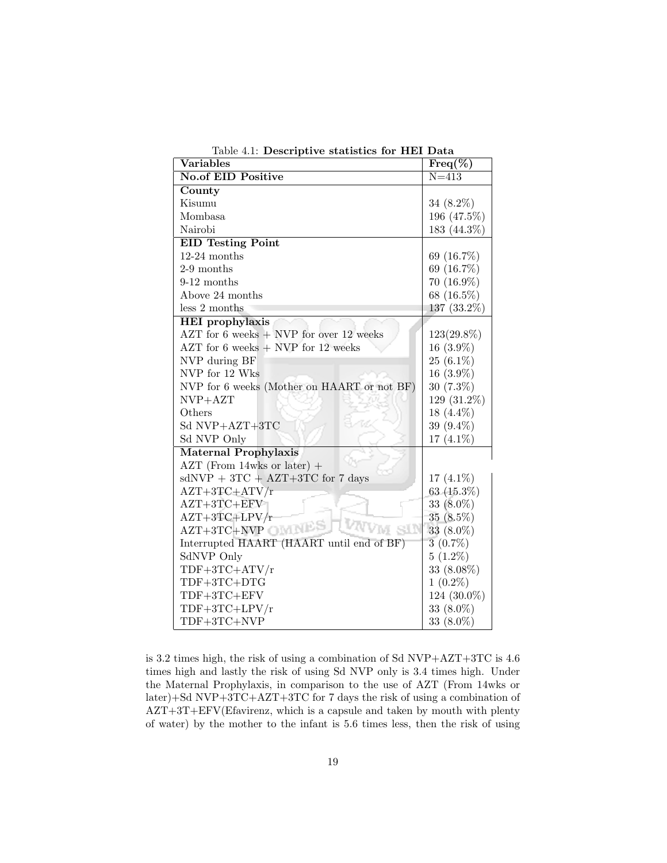| <b>Variables</b>                            | $\overline{\text{Freq}(\%)}$ |
|---------------------------------------------|------------------------------|
| <b>No.of EID Positive</b>                   | $N = 413$                    |
| County                                      |                              |
| Kisumu                                      | 34 $(8.2\%)$                 |
| <b>Mombasa</b>                              | 196 (47.5%)                  |
| Nairobi                                     | 183 (44.3%)                  |
| <b>EID</b> Testing Point                    |                              |
| $12-24$ months                              | 69 (16.7%)                   |
| $2-9$ months                                | 69 (16.7%)                   |
| $9-12$ months                               | $70(16.9\%)$                 |
| Above 24 months                             | 68 (16.5%)                   |
| less 2 months                               | 137 $(33.2\%)$               |
| <b>HEI</b> prophylaxis                      |                              |
| AZT for 6 weeks $+$ NVP for over 12 weeks   | 123(29.8%)                   |
| AZT for $6$ weeks $+$ NVP for 12 weeks      | $16(3.9\%)$                  |
| NVP during BF                               | $25(6.1\%)$                  |
| NVP for 12 Wks                              | $16(3.9\%)$                  |
| NVP for 6 weeks (Mother on HAART or not BF) | $30(7.3\%)$                  |
| $NVP+AZT$                                   | 129 (31.2%)                  |
| Others                                      | 18 $(4.4\%)$                 |
| Sd NVP+AZT+3TC                              | 39 (9.4%)                    |
| Sd NVP Only                                 | 17 $(4.1\%)$                 |
| <b>Maternal Prophylaxis</b>                 |                              |
| $AZT$ (From 14wks or later) +               |                              |
| $sdNVP + 3TC + AZT+3TC$ for 7 days          | 17 $(4.1\%)$                 |
| $AZT+3TC+ATV/r$                             | 63 $(15.3\%)$                |
| $AZT+3TC+EFV$                               | 33 $(8.0\%)$                 |
| $AZT+3TC+LPV/r$                             | $35(8.5\%)$                  |
| M SIN<br>AZT+3TC+NVP                        | 33 $(8.0\%)$                 |
| Interrupted HAART (HAART until end of BF)   | 3(0.7%)                      |
| SdNVP Only                                  | $5(1.2\%)$                   |
| $TDF+3TC+ATV/r$                             | 33 (8.08%)                   |
| TDF+3TC+DTG                                 | $1(0.2\%)$                   |
| $TDF+3TC+EFV$                               | 124 (30.0%)                  |
| TDF+3TC+LPV/r                               | 33 $(8.0\%)$                 |
| TDF+3TC+NVP                                 | 33 (8.0%)                    |

Table 4.1: Descriptive statistics for HEI Data

is 3.2 times high, the risk of using a combination of Sd NVP+AZT+3TC is 4.6 times high and lastly the risk of using Sd NVP only is 3.4 times high. Under the Maternal Prophylaxis, in comparison to the use of AZT (From 14wks or later)+Sd NVP+3TC+AZT+3TC for 7 days the risk of using a combination of AZT+3T+EFV(Efavirenz, which is a capsule and taken by mouth with plenty of water) by the mother to the infant is 5.6 times less, then the risk of using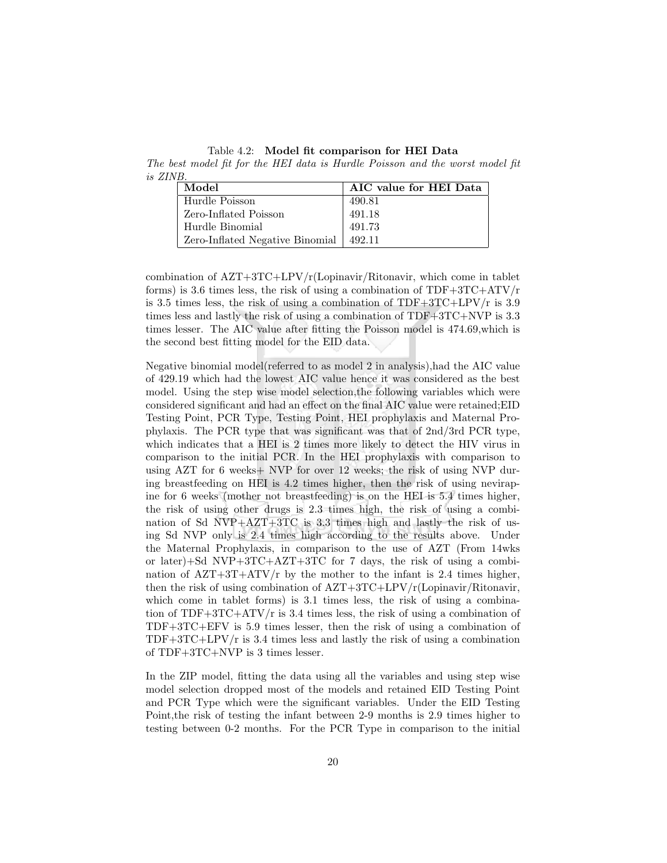Table 4.2: Model fit comparison for HEI Data The best model fit for the HEI data is Hurdle Poisson and the worst model fit

| is ZINB. |                                 |                        |
|----------|---------------------------------|------------------------|
|          | Model                           | AIC value for HEI Data |
|          | Hurdle Poisson                  | 490.81                 |
|          | Zero-Inflated Poisson           | 491.18                 |
|          | Hurdle Binomial                 | 491.73                 |
|          | Zero-Inflated Negative Binomial | 492.11                 |

combination of  $\angle$ AZT+3TC+LPV/r(Lopinavir/Ritonavir, which come in tablet forms) is 3.6 times less, the risk of using a combination of  $TDF+3TC+ATV/r$ is 3.5 times less, the risk of using a combination of  $TDF+3TC+LPV/r$  is 3.9 times less and lastly the risk of using a combination of TDF+3TC+NVP is 3.3 times lesser. The AIC value after fitting the Poisson model is 474.69,which is the second best fitting model for the EID data.

Negative binomial model(referred to as model 2 in analysis),had the AIC value of 429.19 which had the lowest AIC value hence it was considered as the best model. Using the step wise model selection,the following variables which were considered significant and had an effect on the final AIC value were retained;EID Testing Point, PCR Type, Testing Point, HEI prophylaxis and Maternal Prophylaxis. The PCR type that was significant was that of 2nd/3rd PCR type, which indicates that a HEI is 2 times more likely to detect the HIV virus in comparison to the initial PCR. In the HEI prophylaxis with comparison to using AZT for 6 weeks+ NVP for over 12 weeks; the risk of using NVP during breastfeeding on HEI is 4.2 times higher, then the risk of using nevirapine for 6 weeks (mother not breastfeeding) is on the HEI is 5.4 times higher, the risk of using other drugs is 2.3 times high, the risk of using a combination of Sd  $NVP+AZT+3TC$  is 3.3 times high and lastly the risk of using Sd NVP only is 2.4 times high according to the results above. Under the Maternal Prophylaxis, in comparison to the use of AZT (From 14wks or later)+Sd NVP+3TC+ $AZT+3TC$  for 7 days, the risk of using a combination of  $\text{AZT}+\text{ATV/r}$  by the mother to the infant is 2.4 times higher, then the risk of using combination of  $AZT+3TC+LPV/r($ Lopinavir/Ritonavir, which come in tablet forms) is 3.1 times less, the risk of using a combination of  $TDF+3TC+ATV/r$  is 3.4 times less, the risk of using a combination of TDF+3TC+EFV is 5.9 times lesser, then the risk of using a combination of  $TDF+3TC+LPV/r$  is 3.4 times less and lastly the risk of using a combination of TDF+3TC+NVP is 3 times lesser.

In the ZIP model, fitting the data using all the variables and using step wise model selection dropped most of the models and retained EID Testing Point and PCR Type which were the significant variables. Under the EID Testing Point,the risk of testing the infant between 2-9 months is 2.9 times higher to testing between 0-2 months. For the PCR Type in comparison to the initial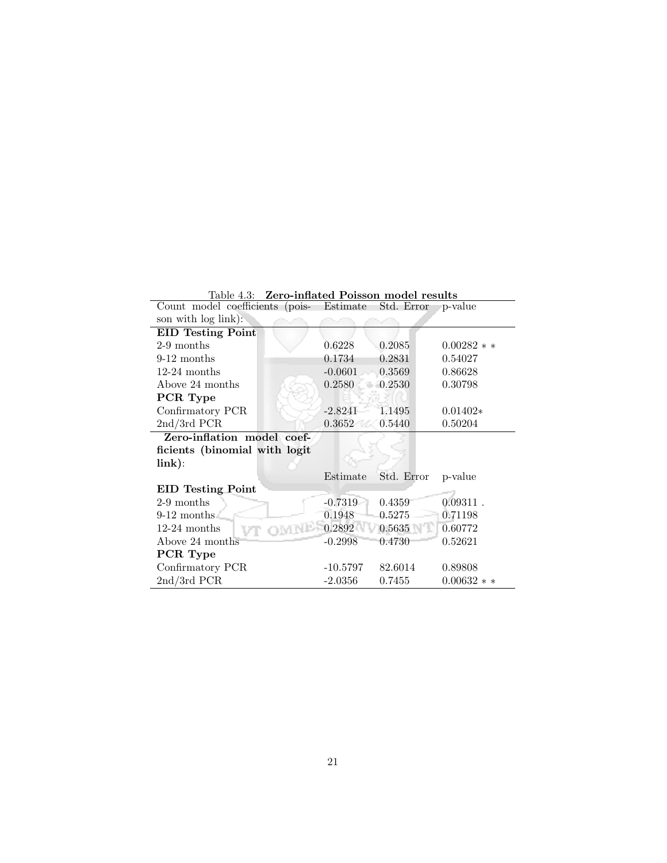| Table 4.3: Zero-inflated Poisson model results |            |            |             |
|------------------------------------------------|------------|------------|-------------|
| Count model coefficients (pois- Estimate       |            | Std. Error | ∍p-value    |
| son with log link):                            |            |            |             |
| <b>EID</b> Testing Point                       |            |            |             |
| 2-9 months                                     | 0.6228     | 0.2085     | $0.00282**$ |
| $9-12$ months                                  | 0.1734     | 0.2831     | 0.54027     |
| $12-24$ months                                 | $-0.0601$  | 0.3569     | 0.86628     |
| Above 24 months                                | 0.2580     | 0.2530     | 0.30798     |
| PCR Type                                       |            |            |             |
| Confirmatory PCR                               | $-2.8241$  | 1.1495     | $0.01402*$  |
| $2nd/3rd$ PCR                                  | 0.3652     | 0.5440     | 0.50204     |
| Zero-inflation model coef-                     |            |            |             |
| ficients (binomial with logit                  |            |            |             |
| link):                                         |            |            |             |
|                                                | Estimate   | Std. Error | p-value     |
| <b>EID</b> Testing Point                       |            |            |             |
| $2-9$ months                                   | $-0.7319$  | 0.4359     | $0.09311$ . |
| $9-12$ months                                  | 0.1948     | 0.5275     | 0.71198     |
| $12-24$ months                                 | 0.2892     | 0.5635     | 0.60772     |
| Above 24 months                                | $-0.2998$  | 0.4730     | 0.52621     |
| PCR Type                                       |            |            |             |
| Confirmatory PCR                               | $-10.5797$ | 82.6014    | 0.89808     |
| $2nd/3rd$ PCR                                  | $-2.0356$  | 0.7455     | $0.00632**$ |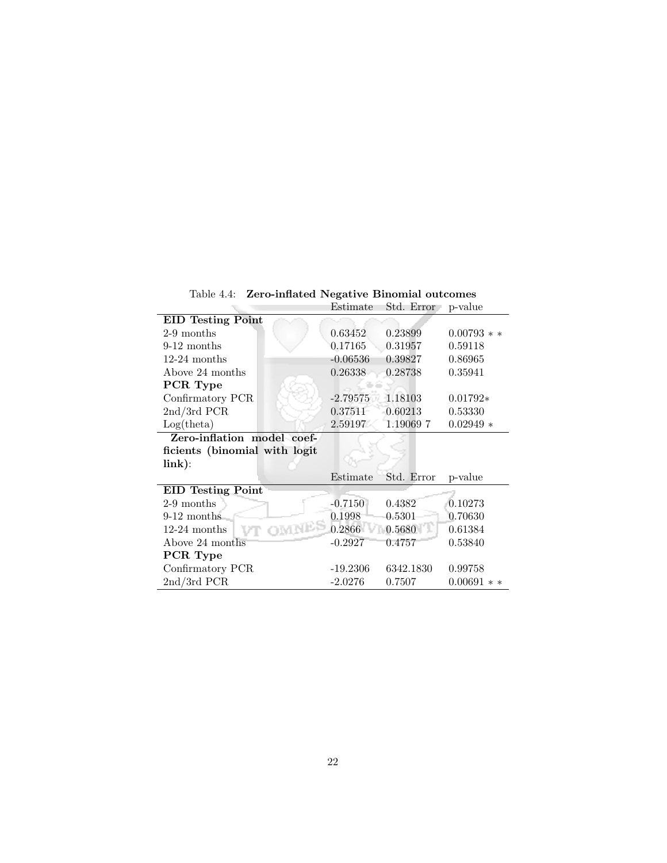Table 4.4: Zero-inflated Negative Binomial outcomes

|                               | Estimate   | Std. Error | p-value          |
|-------------------------------|------------|------------|------------------|
| <b>EID Testing Point</b>      |            |            |                  |
| 2-9 months                    | 0.63452    | 0.23899    | $0.00793$ * *    |
| $9-12$ months                 | 0.17165    | 0.31957    | 0.59118          |
| $12-24$ months                | $-0.06536$ | 0.39827    | 0.86965          |
| Above 24 months               | 0.26338    | 0.28738    | 0.35941          |
| PCR Type                      |            |            |                  |
| Confirmatory PCR              | $-2.79575$ | 1.18103    | $0.01792*$       |
| $2nd/3rd$ PCR                 | 0.37511    | 0.60213    | 0.53330          |
| Log(theta)                    | 2.59197    | 1.190697   | $0.02949*$       |
| Zero-inflation model coef-    |            |            |                  |
| ficients (binomial with logit |            |            |                  |
| $\lim k$ ):                   |            |            |                  |
|                               | Estimate   | Std. Error | p-value          |
| <b>EID Testing Point</b>      |            |            |                  |
| $2-9$ months                  | $-0.7150$  | 0.4382     | 0.10273          |
| $9-12$ months                 | 0.1998     | 0.5301     | 0.70630          |
| OMNES<br>$12-24$ months       | 0.2866     | 0.5680     | 0.61384          |
| Above 24 months               | $-0.2927$  | 0.4757     | 0.53840          |
| PCR Type                      |            |            |                  |
| Confirmatory PCR              | $-19.2306$ | 6342.1830  | 0.99758          |
| $2nd/3rd$ PCR                 | $-2.0276$  | 0.7507     | 0.00691<br>$* *$ |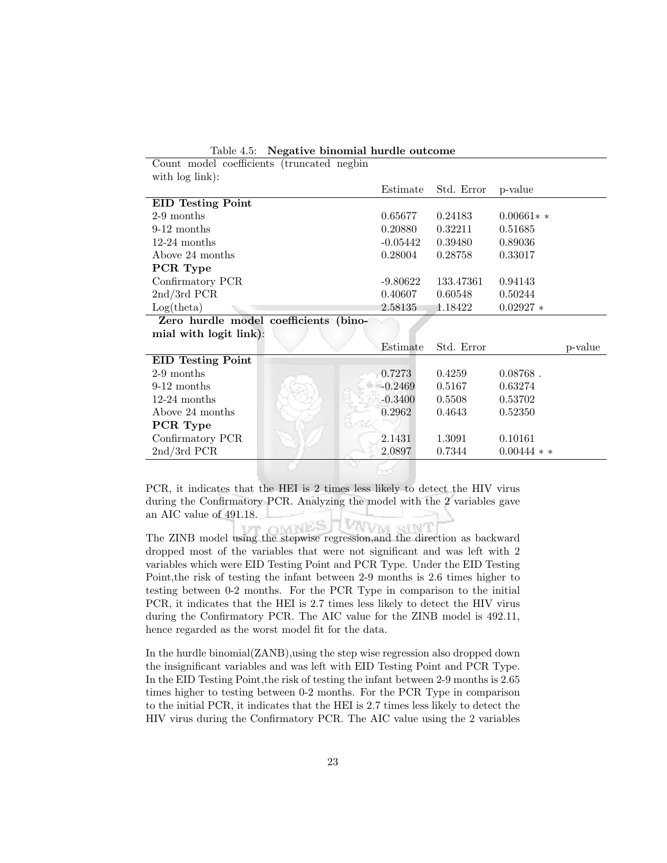|  |  | Table 4.5: Negative binomial hurdle outcome |  |  |  |
|--|--|---------------------------------------------|--|--|--|
|--|--|---------------------------------------------|--|--|--|

| Count model coefficients (truncated negbin |            |            |             |         |
|--------------------------------------------|------------|------------|-------------|---------|
| with log link):                            |            |            |             |         |
|                                            | Estimate   | Std. Error | p-value     |         |
| <b>EID Testing Point</b>                   |            |            |             |         |
| 2-9 months                                 | 0.65677    | 0.24183    | $0.00661**$ |         |
| $9-12$ months                              | 0.20880    | 0.32211    | 0.51685     |         |
| $12-24$ months                             | $-0.05442$ | 0.39480    | 0.89036     |         |
| Above 24 months                            | 0.28004    | 0.28758    | 0.33017     |         |
| PCR Type                                   |            |            |             |         |
| Confirmatory PCR                           | -9.80622   | 133.47361  | 0.94143     |         |
| $2nd/3rd$ PCR                              | 0.40607    | 0.60548    | 0.50244     |         |
| Log(theta)                                 | 2.58135    | 1.18422    | $0.02927 *$ |         |
| Zero hurdle model coefficients (bino-      |            |            |             |         |
| mial with logit link):                     |            |            |             |         |
|                                            | Estimate   | Std. Error |             | p-value |
| <b>EID</b> Testing Point                   |            |            |             |         |
| $2-9$ months                               | 0.7273     | 0.4259     | $0.08768$ . |         |
| $9-12$ months                              | $-0.2469$  | 0.5167     | 0.63274     |         |
| $12-24$ months                             | $-0.3400$  | 0.5508     | 0.53702     |         |
| Above 24 months                            | 0.2962     | 0.4643     | 0.52350     |         |
| PCR Type                                   |            |            |             |         |

PCR, it indicates that the HEI is 2 times less likely to detect the HIV virus during the Confirmatory PCR. Analyzing the model with the 2 variables gave an AIC value of 491.18.

Confirmatory PCR 2.1431 1.3091 0.10161 2nd/3rd PCR 2.0897 0.7344 0.00444 ∗ ∗

The ZINB model using the stepwise regression, and the direction as backward dropped most of the variables that were not significant and was left with 2 variables which were EID Testing Point and PCR Type. Under the EID Testing Point,the risk of testing the infant between 2-9 months is 2.6 times higher to testing between 0-2 months. For the PCR Type in comparison to the initial PCR, it indicates that the HEI is 2.7 times less likely to detect the HIV virus during the Confirmatory PCR. The AIC value for the ZINB model is 492.11, hence regarded as the worst model fit for the data.

In the hurdle binomial(ZANB),using the step wise regression also dropped down the insignificant variables and was left with EID Testing Point and PCR Type. In the EID Testing Point,the risk of testing the infant between 2-9 months is 2.65 times higher to testing between 0-2 months. For the PCR Type in comparison to the initial PCR, it indicates that the HEI is 2.7 times less likely to detect the HIV virus during the Confirmatory PCR. The AIC value using the 2 variables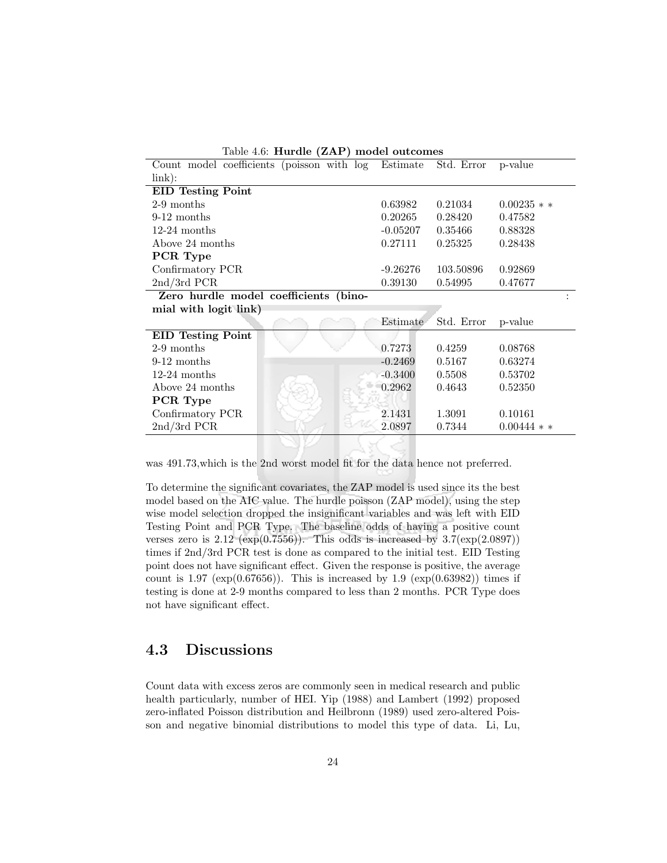| rable 1.0. Harting (2111) inouter outcomes          |            |            |             |
|-----------------------------------------------------|------------|------------|-------------|
| Count model coefficients (poisson with log Estimate |            | Std. Error | p-value     |
| link):                                              |            |            |             |
| <b>EID</b> Testing Point                            |            |            |             |
| $2-9$ months                                        | 0.63982    | 0.21034    | $0.00235**$ |
| $9-12$ months                                       | 0.20265    | 0.28420    | 0.47582     |
| $12-24$ months                                      | $-0.05207$ | 0.35466    | 0.88328     |
| Above 24 months                                     | 0.27111    | 0.25325    | 0.28438     |
| PCR Type                                            |            |            |             |
| Confirmatory PCR                                    | $-9.26276$ | 103.50896  | 0.92869     |
| $2nd/3rd$ PCR                                       | 0.39130    | 0.54995    | 0.47677     |
| Zero hurdle model coefficients (bino-               |            |            |             |
|                                                     |            |            |             |
| mial with logit link)                               |            |            |             |
|                                                     | Estimate   | Std. Error | p-value     |
| <b>EID Testing Point</b>                            |            |            |             |
| 2-9 months                                          | 0.7273     | 0.4259     | 0.08768     |
| $9-12$ months                                       | $-0.2469$  | 0.5167     | 0.63274     |
| $12-24$ months                                      | $-0.3400$  | 0.5508     | 0.53702     |
| Above 24 months                                     | 0.2962     | 0.4643     | 0.52350     |
| PCR Type                                            |            |            |             |
| Confirmatory PCR                                    | 2.1431     | 1.3091     | 0.10161     |
| $2nd/3rd$ PCR                                       | 2.0897     | 0.7344     | $0.00444**$ |

Table 4.6: Hurdle (ZAP) model outcomes

was 491.73,which is the 2nd worst model fit for the data hence not preferred.

To determine the significant covariates, the ZAP model is used since its the best model based on the AIC value. The hurdle poisson (ZAP model), using the step wise model selection dropped the insignificant variables and was left with EID Testing Point and PCR Type. The baseline odds of having a positive count verses zero is  $2.12 \text{ (exp}(0.7556))$ . This odds is increased by  $3.7(\exp(2.0897))$ times if 2nd/3rd PCR test is done as compared to the initial test. EID Testing point does not have significant effect. Given the response is positive, the average count is 1.97 ( $\exp(0.67656)$ ). This is increased by 1.9 ( $\exp(0.63982)$ ) times if testing is done at 2-9 months compared to less than 2 months. PCR Type does not have significant effect.

## 4.3 Discussions

Count data with excess zeros are commonly seen in medical research and public health particularly, number of HEI. Yip (1988) and Lambert (1992) proposed zero-inflated Poisson distribution and Heilbronn (1989) used zero-altered Poisson and negative binomial distributions to model this type of data. Li, Lu,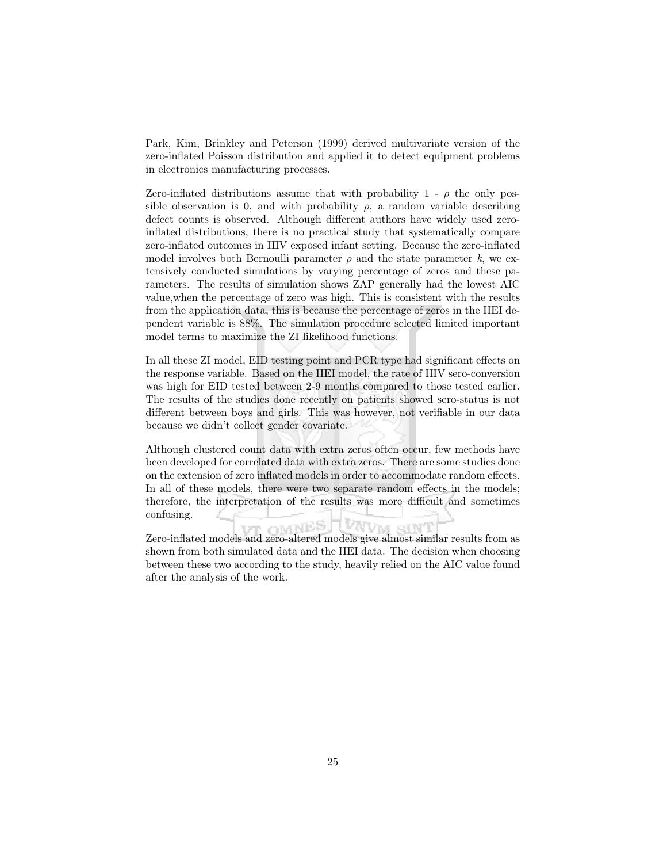Park, Kim, Brinkley and Peterson (1999) derived multivariate version of the zero-inflated Poisson distribution and applied it to detect equipment problems in electronics manufacturing processes.

Zero-inflated distributions assume that with probability 1 -  $\rho$  the only possible observation is 0, and with probability  $\rho$ , a random variable describing defect counts is observed. Although different authors have widely used zeroinflated distributions, there is no practical study that systematically compare zero-inflated outcomes in HIV exposed infant setting. Because the zero-inflated model involves both Bernoulli parameter  $\rho$  and the state parameter k, we extensively conducted simulations by varying percentage of zeros and these parameters. The results of simulation shows ZAP generally had the lowest AIC value,when the percentage of zero was high. This is consistent with the results from the application data, this is because the percentage of zeros in the HEI dependent variable is 88%. The simulation procedure selected limited important model terms to maximize the ZI likelihood functions.

In all these ZI model, EID testing point and PCR type had significant effects on the response variable. Based on the HEI model, the rate of HIV sero-conversion was high for EID tested between 2-9 months compared to those tested earlier. The results of the studies done recently on patients showed sero-status is not different between boys and girls. This was however, not verifiable in our data because we didn't collect gender covariate.

Although clustered count data with extra zeros often occur, few methods have been developed for correlated data with extra zeros. There are some studies done on the extension of zero inflated models in order to accommodate random effects. In all of these models, there were two separate random effects in the models; therefore, the interpretation of the results was more difficult and sometimes confusing.

Zero-inflated models and zero-altered models give almost similar results from as shown from both simulated data and the HEI data. The decision when choosing between these two according to the study, heavily relied on the AIC value found after the analysis of the work.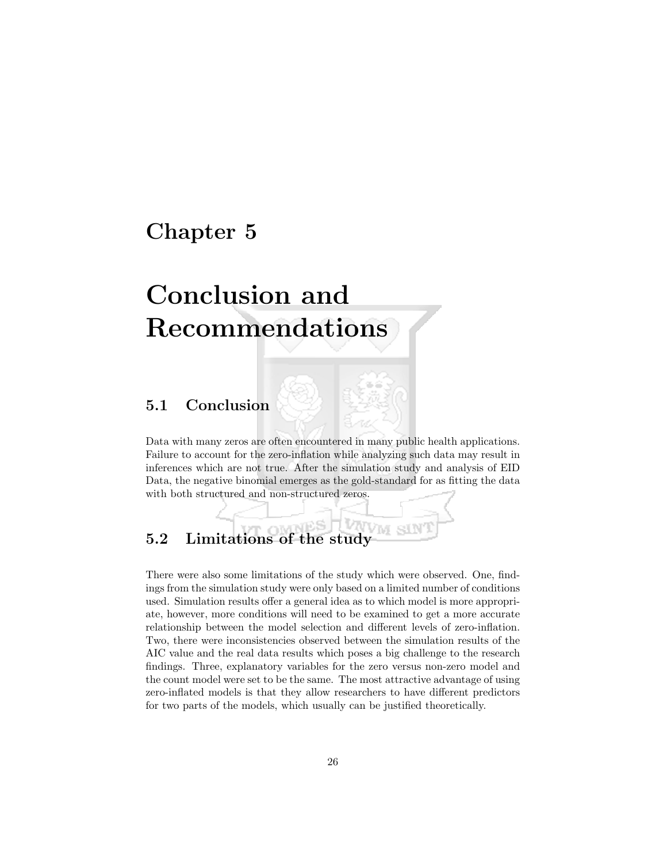## Chapter 5

# Conclusion and Recommendations

## 5.1 Conclusion

Data with many zeros are often encountered in many public health applications. Failure to account for the zero-inflation while analyzing such data may result in inferences which are not true. After the simulation study and analysis of EID Data, the negative binomial emerges as the gold-standard for as fitting the data with both structured and non-structured zeros.

## 5.2 Limitations of the study

There were also some limitations of the study which were observed. One, findings from the simulation study were only based on a limited number of conditions used. Simulation results offer a general idea as to which model is more appropriate, however, more conditions will need to be examined to get a more accurate relationship between the model selection and different levels of zero-inflation. Two, there were inconsistencies observed between the simulation results of the AIC value and the real data results which poses a big challenge to the research findings. Three, explanatory variables for the zero versus non-zero model and the count model were set to be the same. The most attractive advantage of using zero-inflated models is that they allow researchers to have different predictors for two parts of the models, which usually can be justified theoretically.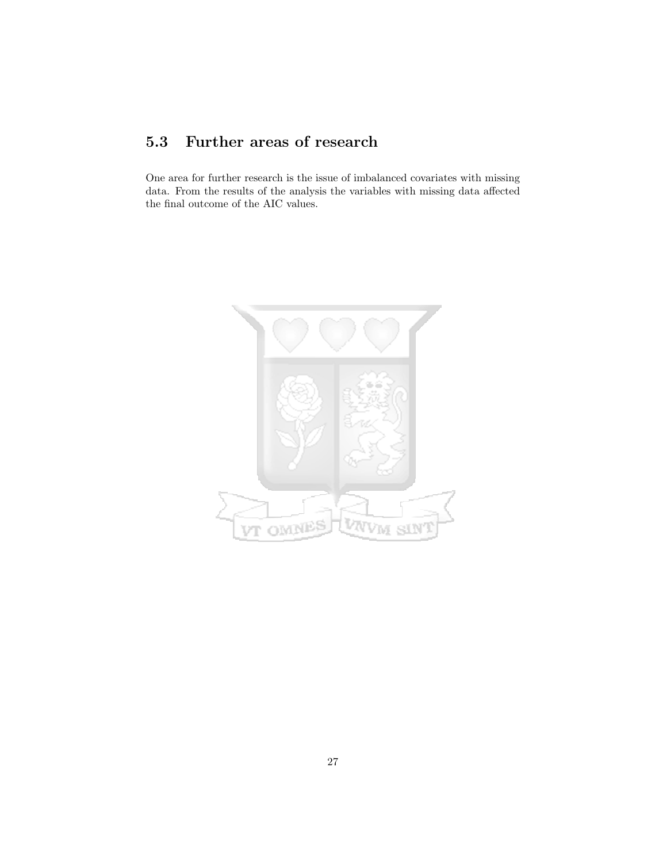## 5.3 Further areas of research

One area for further research is the issue of imbalanced covariates with missing data. From the results of the analysis the variables with missing data affected the final outcome of the AIC values.

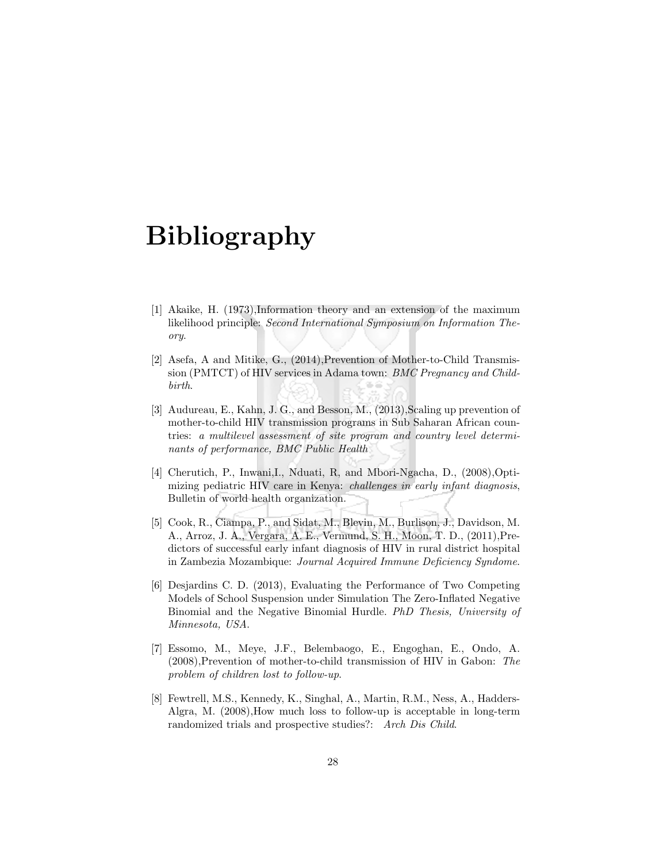## Bibliography

- [1] Akaike, H. (1973),Information theory and an extension of the maximum likelihood principle: Second International Symposium on Information Theory.
- [2] Asefa, A and Mitike, G., (2014),Prevention of Mother-to-Child Transmission (PMTCT) of HIV services in Adama town: BMC Pregnancy and Childbirth.
- [3] Audureau, E., Kahn, J. G., and Besson, M., (2013), Scaling up prevention of mother-to-child HIV transmission programs in Sub Saharan African countries: a multilevel assessment of site program and country level determinants of performance, BMC Public Health
- [4] Cherutich, P., Inwani,I., Nduati, R, and Mbori-Ngacha, D., (2008),Optimizing pediatric HIV care in Kenya: challenges in early infant diagnosis, Bulletin of world health organization.
- [5] Cook, R., Ciampa, P., and Sidat, M., Blevin, M., Burlison, J., Davidson, M. A., Arroz, J. A., Vergara, A. E., Vermund, S. H., Moon, T. D., (2011),Predictors of successful early infant diagnosis of HIV in rural district hospital in Zambezia Mozambique: Journal Acquired Immune Deficiency Syndome.
- [6] Desjardins C. D. (2013), Evaluating the Performance of Two Competing Models of School Suspension under Simulation The Zero-Inflated Negative Binomial and the Negative Binomial Hurdle. PhD Thesis, University of Minnesota, USA.
- [7] Essomo, M., Meye, J.F., Belembaogo, E., Engoghan, E., Ondo, A. (2008),Prevention of mother-to-child transmission of HIV in Gabon: The problem of children lost to follow-up.
- [8] Fewtrell, M.S., Kennedy, K., Singhal, A., Martin, R.M., Ness, A., Hadders-Algra, M. (2008),How much loss to follow-up is acceptable in long-term randomized trials and prospective studies?: Arch Dis Child.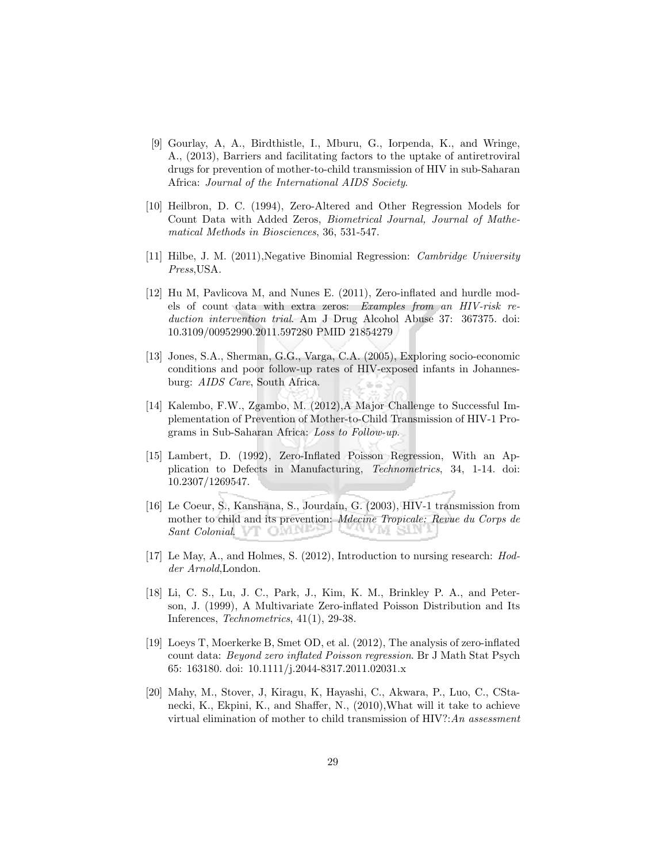- [9] Gourlay, A, A., Birdthistle, I., Mburu, G., Iorpenda, K., and Wringe, A., (2013), Barriers and facilitating factors to the uptake of antiretroviral drugs for prevention of mother-to-child transmission of HIV in sub-Saharan Africa: Journal of the International AIDS Society.
- [10] Heilbron, D. C. (1994), Zero-Altered and Other Regression Models for Count Data with Added Zeros, Biometrical Journal, Journal of Mathematical Methods in Biosciences, 36, 531-547.
- [11] Hilbe, J. M. (2011),Negative Binomial Regression: Cambridge University Press,USA.
- [12] Hu M, Pavlicova M, and Nunes E. (2011), Zero-inflated and hurdle models of count data with extra zeros: Examples from an HIV-risk reduction intervention trial. Am J Drug Alcohol Abuse 37: 367375. doi: 10.3109/00952990.2011.597280 PMID 21854279
- [13] Jones, S.A., Sherman, G.G., Varga, C.A. (2005), Exploring socio-economic conditions and poor follow-up rates of HIV-exposed infants in Johannesburg: AIDS Care, South Africa.
- [14] Kalembo, F.W., Zgambo, M. (2012),A Major Challenge to Successful Implementation of Prevention of Mother-to-Child Transmission of HIV-1 Programs in Sub-Saharan Africa: Loss to Follow-up.
- [15] Lambert, D. (1992), Zero-Inflated Poisson Regression, With an Application to Defects in Manufacturing, Technometrics, 34, 1-14. doi: 10.2307/1269547.
- [16] Le Coeur, S., Kanshana, S., Jourdain, G. (2003), HIV-1 transmission from mother to child and its prevention: Mdecine Tropicale: Revue du Corps de Sant Colonial. The Chain State of the Sant Colonial. A ADI STIA
- [17] Le May, A., and Holmes, S. (2012), Introduction to nursing research: Hodder Arnold,London.
- [18] Li, C. S., Lu, J. C., Park, J., Kim, K. M., Brinkley P. A., and Peterson, J. (1999), A Multivariate Zero-inflated Poisson Distribution and Its Inferences, Technometrics, 41(1), 29-38.
- [19] Loeys T, Moerkerke B, Smet OD, et al. (2012), The analysis of zero-inflated count data: Beyond zero inflated Poisson regression. Br J Math Stat Psych 65: 163180. doi: 10.1111/j.2044-8317.2011.02031.x
- [20] Mahy, M., Stover, J, Kiragu, K, Hayashi, C., Akwara, P., Luo, C., CStanecki, K., Ekpini, K., and Shaffer, N., (2010),What will it take to achieve virtual elimination of mother to child transmission of  $HIV$ ?:An assessment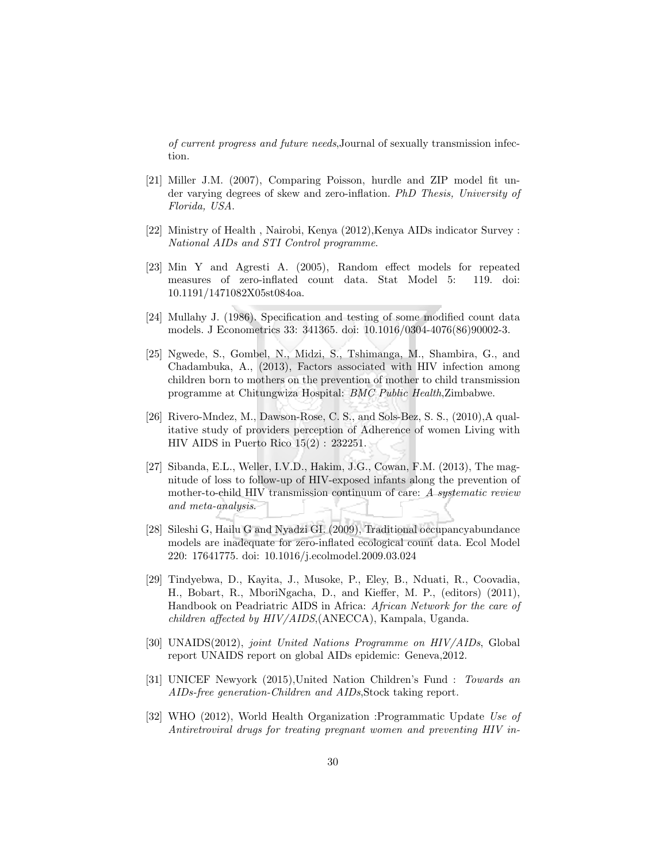of current progress and future needs,Journal of sexually transmission infection.

- [21] Miller J.M. (2007), Comparing Poisson, hurdle and ZIP model fit under varying degrees of skew and zero-inflation. PhD Thesis, University of Florida, USA.
- [22] Ministry of Health , Nairobi, Kenya (2012),Kenya AIDs indicator Survey : National AIDs and STI Control programme.
- [23] Min Y and Agresti A. (2005), Random effect models for repeated measures of zero-inflated count data. Stat Model 5: 119. doi: 10.1191/1471082X05st084oa.
- [24] Mullahy J. (1986). Specification and testing of some modified count data models. J Econometrics 33: 341365. doi: 10.1016/0304-4076(86)90002-3.
- [25] Ngwede, S., Gombel, N., Midzi, S., Tshimanga, M., Shambira, G., and Chadambuka, A., (2013), Factors associated with HIV infection among children born to mothers on the prevention of mother to child transmission programme at Chitungwiza Hospital: BMC Public Health,Zimbabwe.
- [26] Rivero-Mndez, M., Dawson-Rose, C. S., and Sols-Bez, S. S., (2010),A qualitative study of providers perception of Adherence of women Living with HIV AIDS in Puerto Rico 15(2) : 232251.
- [27] Sibanda, E.L., Weller, I.V.D., Hakim, J.G., Cowan, F.M. (2013), The magnitude of loss to follow-up of HIV-exposed infants along the prevention of mother-to-child HIV transmission continuum of care: A systematic review and meta-analysis.
- [28] Sileshi G, Hailu G and Nyadzi GI. (2009), Traditional occupancyabundance models are inadequate for zero-inflated ecological count data. Ecol Model 220: 17641775. doi: 10.1016/j.ecolmodel.2009.03.024
- [29] Tindyebwa, D., Kayita, J., Musoke, P., Eley, B., Nduati, R., Coovadia, H., Bobart, R., MboriNgacha, D., and Kieffer, M. P., (editors) (2011), Handbook on Peadriatric AIDS in Africa: African Network for the care of children affected by HIV/AIDS,(ANECCA), Kampala, Uganda.
- [30] UNAIDS(2012), joint United Nations Programme on HIV/AIDs, Global report UNAIDS report on global AIDs epidemic: Geneva,2012.
- [31] UNICEF Newyork (2015),United Nation Children's Fund : Towards an AIDs-free generation-Children and AIDs,Stock taking report.
- [32] WHO (2012), World Health Organization :Programmatic Update Use of Antiretroviral drugs for treating pregnant women and preventing HIV in-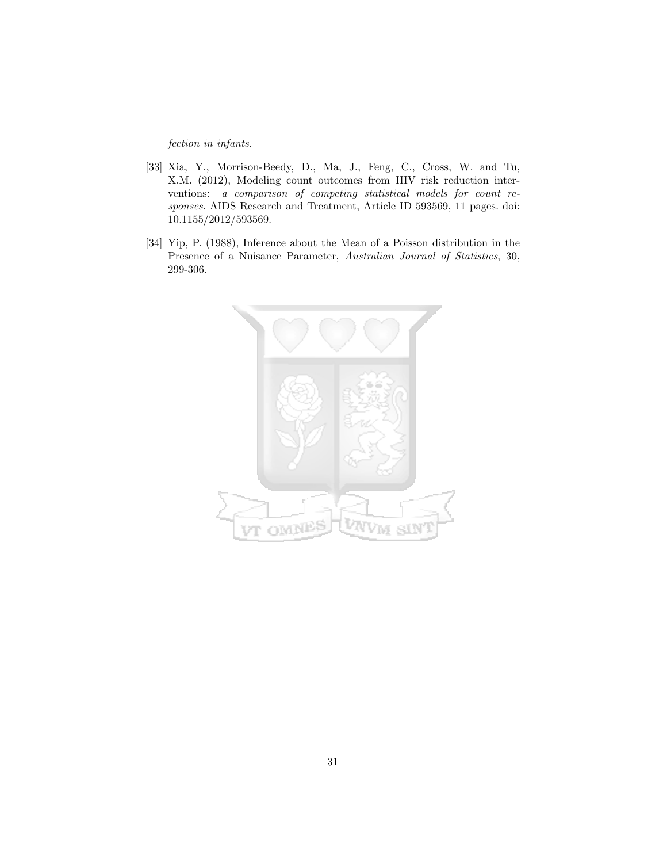fection in infants.

- [33] Xia, Y., Morrison-Beedy, D., Ma, J., Feng, C., Cross, W. and Tu, X.M. (2012), Modeling count outcomes from HIV risk reduction interventions: a comparison of competing statistical models for count responses. AIDS Research and Treatment, Article ID 593569, 11 pages. doi: 10.1155/2012/593569.
- [34] Yip, P. (1988), Inference about the Mean of a Poisson distribution in the Presence of a Nuisance Parameter, Australian Journal of Statistics, 30, 299-306.

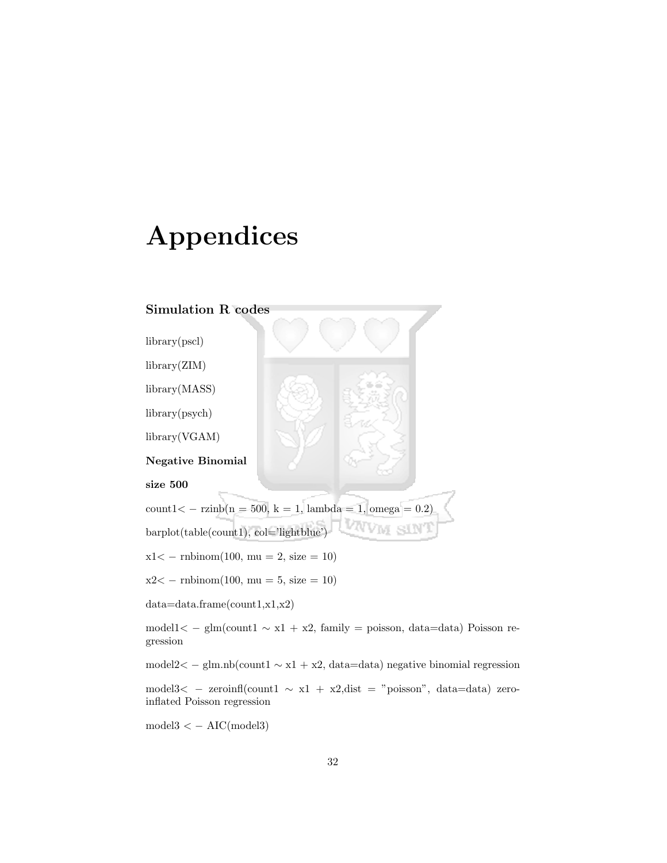## Appendices

### Simulation R codes

library(pscl) library(ZIM) library(MASS) library(psych) library(VGAM) Negative Binomial size 500  $count1 < - \ranh(n = 500, k = 1, lambda = 1, omega = 0.2)$ barplot(table(count1), col='lightblue') SIN  $x1 < -$  rnbinom(100, mu = 2, size = 10)  $x2 < -$  rnbinom $(100, \text{mu} = 5, \text{ size} = 10)$ data=data.frame(count1,x1,x2) model1< − glm(count1 ∼ x1 + x2, family = poisson, data=data) Poisson regression model2< − glm.nb(count1 ∼ x1 + x2, data=data) negative binomial regression model3< − zeroinfl(count1 ∼ x1 + x2,dist = "poisson", data=data) zero-

 $model3 < -AIC(model3)$ 

inflated Poisson regression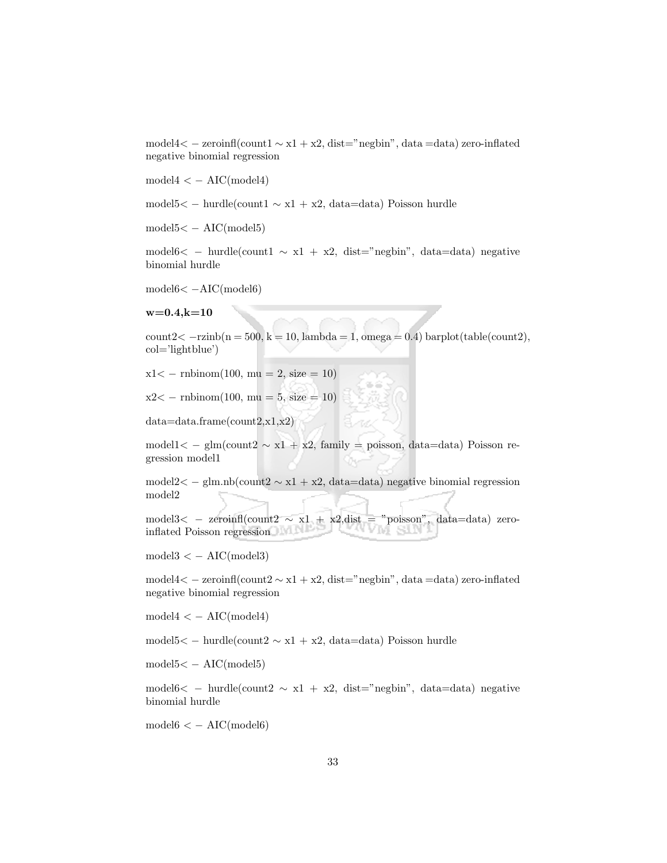model4< − zeroinfl(count1 ∼ x1 + x2, dist="negbin", data =data) zero-inflated negative binomial regression

 $model4 < - AIC(model4)$ 

model5< − hurdle(count1 ∼ x1 + x2, data=data) Poisson hurdle

 $model5 < -AIC(model5)$ 

model6< − hurdle(count1  $\sim x1 + x2$ , dist="negbin", data=data) negative binomial hurdle

model6< −AIC(model6)

 $w=0.4, k=10$ 

 $count2 < -r\text{zinh}(n = 500, k = 10, lambda = 1, omega = 0.4) barplot(table(count2),$ col='lightblue')

 $x1 < -$  rnbinom(100, mu = 2, size = 10)

 $x2 < -$  rnbinom $(100, \text{mu} = 5, \text{size} = 10)$ 

data=data.frame(count2,x1,x2)

model $1 < -$  glm(count $2 \sim x_1 + x_2$ , family = poisson, data=data) Poisson regression model1

model2< − glm.nb(count2 ∼ x1 + x2, data=data) negative binomial regression model2

model3< − zeroinfl(count2  $\sim$  x1 + x2,dist = "poisson", data=data) zero-inflated Poisson regression inflated Poisson regression

 $model3 < -AIC(model3)$ 

model4< − zeroinfl(count2 ∼ x1 + x2, dist="negbin", data =data) zero-inflated negative binomial regression

 $model4 < -AIC(model4)$ 

model5< − hurdle(count2 ∼ x1 + x2, data=data) Poisson hurdle

 $model5 < -AIC(model5)$ 

model6< − hurdle(count2  $\sim x1 + x2$ , dist="negbin", data=data) negative binomial hurdle

 $model6 < -AIC(model6)$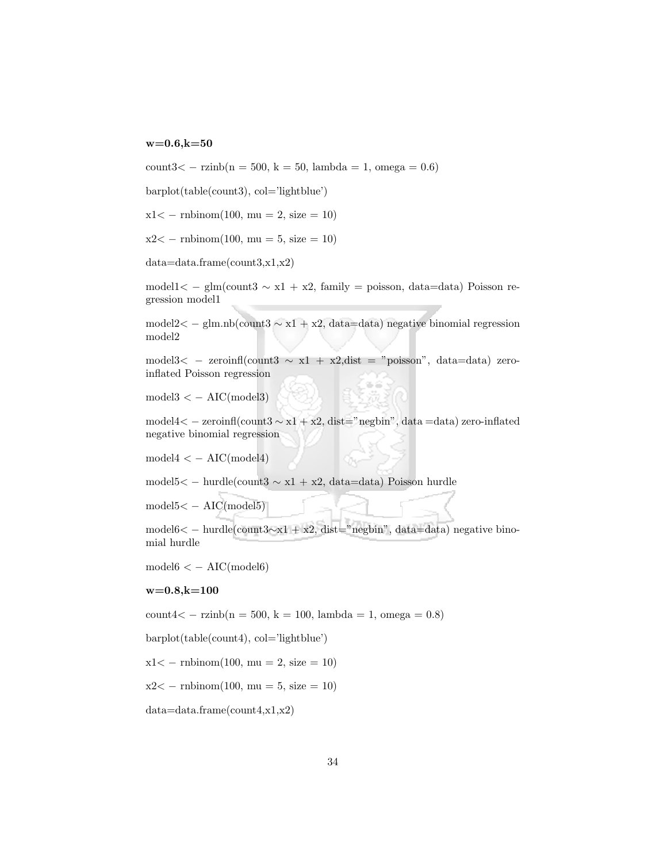#### $w=0.6, k=50$

count3< − rzinb(n = 500, k = 50, lambda = 1, omega = 0.6)

barplot(table(count3), col='lightblue')

 $x1 < -$  rnbinom $(100, mu = 2, size = 10)$ 

 $x2 < -$  rnbinom(100, mu = 5, size = 10)

data=data.frame(count3,x1,x2)

model1< − glm(count3  $\sim x1 + x2$ , family = poisson, data=data) Poisson regression model1

model2< − glm.nb(count3 ∼ x1 + x2, data=data) negative binomial regression model2

model3< − zeroinfl(count3  $\sim x1 + x2$ , dist = "poisson", data=data) zeroinflated Poisson regression

 $model3 < -AIC(model3)$ 

model4< − zeroinfl(count3 ∼ x1 + x2, dist="negbin", data =data) zero-inflated negative binomial regression

 $model4 < - AIC(model4)$ 

model5< − hurdle(count3 ∼ x1 + x2, data=data) Poisson hurdle

model5< − AIC(model5)

model6< − hurdle(count3∼x1 + x2, dist="negbin", data=data) negative binomial hurdle

 $model6 < -AIC(model6)$ 

#### $w=0.8, k=100$

count4< − rzinb(n = 500, k = 100, lambda = 1, omega = 0.8)

barplot(table(count4), col='lightblue')

 $x1 < -$  rnbinom $(100, \text{mu} = 2, \text{size} = 10)$ 

 $x2 < -$  rnbinom $(100, \text{mu} = 5, \text{ size} = 10)$ 

data=data.frame(count4,x1,x2)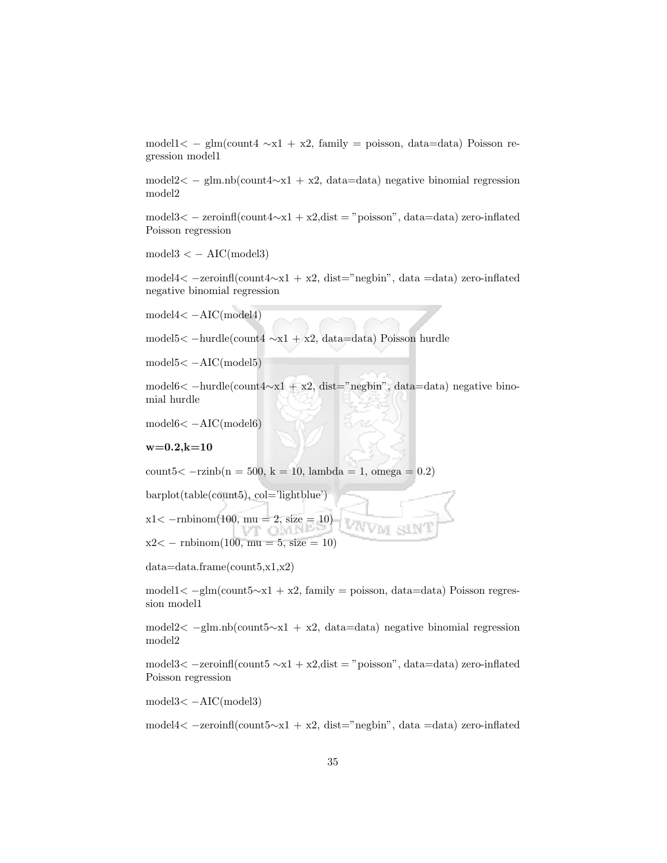model1< − glm(count4 ∼x1 + x2, family = poisson, data=data) Poisson regression model1

model2< − glm.nb(count4∼x1 + x2, data=data) negative binomial regression model2

model3< − zeroinfl(count4∼x1 + x2,dist = "poisson", data=data) zero-inflated Poisson regression

 $model3 < -AIC(model3)$ 

model4< −zeroinfl(count4∼x1 + x2, dist="negbin", data =data) zero-inflated negative binomial regression

model4< −AIC(model4)

model5< −hurdle(count4 ∼x1 + x2, data=data) Poisson hurdle

model5< −AIC(model5)

model6< −hurdle(count4∼x1 + x2, dist="negbin", data=data) negative binomial hurdle

model6< −AIC(model6)

 $w=0.2, k=10$ 

count5
$$
< -r\text{zinb}(n = 500, k = 10, lambda = 1, omega = 0.2)
$$

barplot(table(count5), col='lightblue')

 $x1 < -r$ nbinom(100, mu = 2, size = 10)

 $x2 < -$  rnbinom $(100, \text{mu} = 5, \text{ size} = 10)$ 

data=data.frame(count5,x1,x2)

model1< −glm(count5∼x1 + x2, family = poisson, data=data) Poisson regression model1

model2< −glm.nb(count5∼x1 + x2, data=data) negative binomial regression model2

model3< −zeroinfl(count5 ∼x1 + x2,dist = "poisson", data=data) zero-inflated Poisson regression

model3< −AIC(model3)

model4< −zeroinfl(count5∼x1 + x2, dist="negbin", data =data) zero-inflated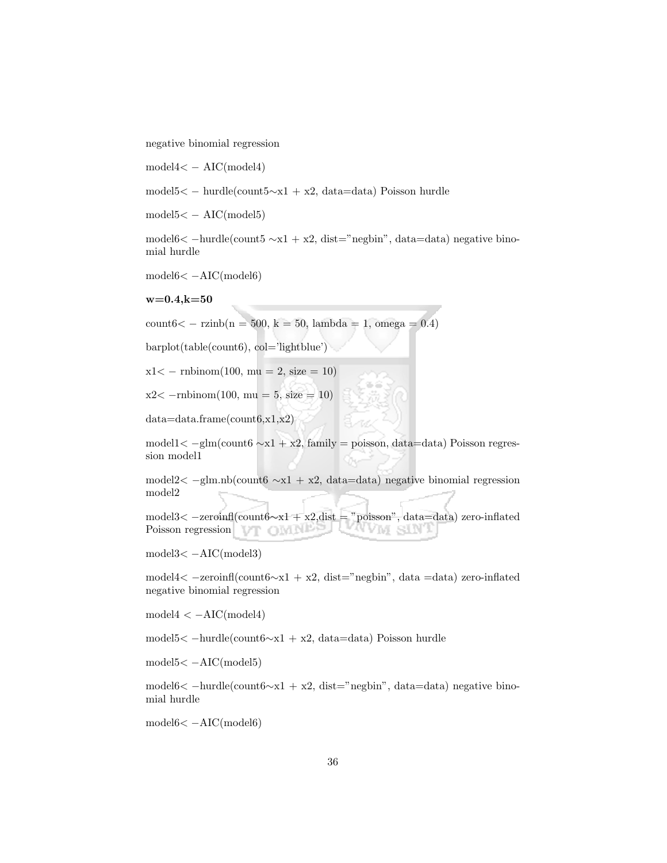negative binomial regression

model4< − AIC(model4)

model5< − hurdle(count5∼x1 + x2, data=data) Poisson hurdle

 $model5 < -AIC(model5)$ 

model6< −hurdle(count5 ∼x1 + x2, dist="negbin", data=data) negative binomial hurdle

model6< −AIC(model6)

 $w=0.4, k=50$ 

count6< − rzinb(n = 500, k = 50, lambda = 1, omega = 0.4)

 $barplot(table(count6), col='lightblue')$ 

 $x1 < -$  rnbinom(100, mu = 2, size = 10)

 $x2 < -r$ nbinom $(100, mu = 5, size = 10)$ 

data=data.frame(count6,x1,x2)

model1< −glm(count6 ∼x1 + x2, family = poisson, data=data) Poisson regression model1

model2< −glm.nb(count6 ∼x1 + x2, data=data) negative binomial regression model2

model3< −zeroinfl(count6∼x1 + x2,dist = "poisson", data=data) zero-inflated Poisson regression **Property Property** YVM SIN

model3< −AIC(model3)

model4< −zeroinfl(count6∼x1 + x2, dist="negbin", data =data) zero-inflated negative binomial regression

 $model4 < -AIC(model4)$ 

model5< −hurdle(count6∼x1 + x2, data=data) Poisson hurdle

model5< −AIC(model5)

model6< −hurdle(count6∼x1 + x2, dist="negbin", data=data) negative binomial hurdle

model6< −AIC(model6)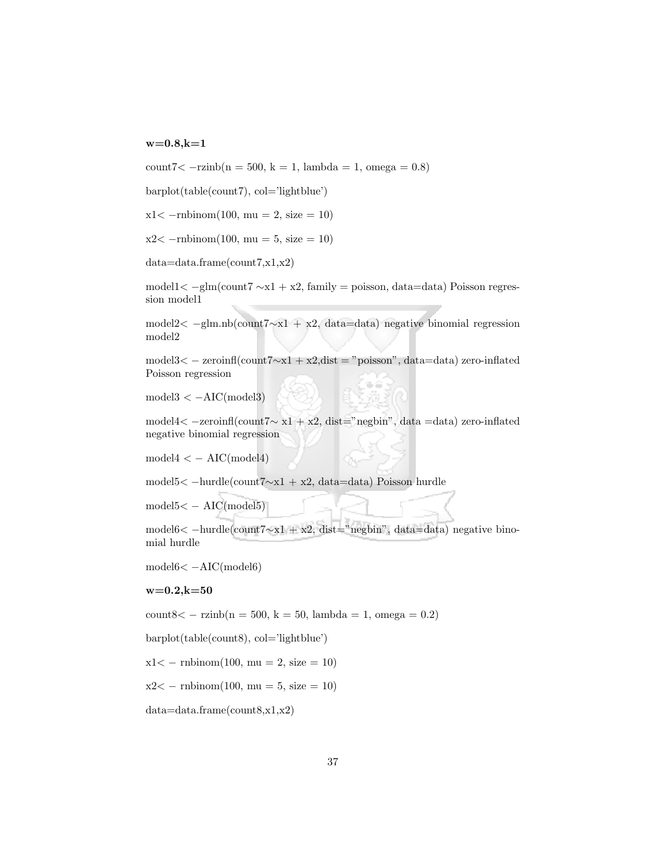#### $w=0.8, k=1$

count7< −rzinb(n = 500, k = 1, lambda = 1, omega = 0.8)

barplot(table(count7), col='lightblue')

 $x1 < -r$ mbinom $(100, mu = 2, size = 10)$ 

 $x2 < -r$ mbinom $(100, mu = 5, size = 10)$ 

data=data.frame(count7,x1,x2)

model1< −glm(count7 ∼x1 + x2, family = poisson, data=data) Poisson regression model1

model2< −glm.nb(count7∼x1 + x2, data=data) negative binomial regression model2

model3< − zeroinfl(count7∼x1 + x2,dist = "poisson", data=data) zero-inflated Poisson regression

 $model3 < -AIC (model3)$ 

model4< −zeroinfl(count7∼ x1 + x2, dist="negbin", data =data) zero-inflated negative binomial regression

 $model4 < - AIC(model4)$ 

model5< −hurdle(count7∼x1 + x2, data=data) Poisson hurdle

 $model5 < -AIC(model5)$ 

model6< −hurdle(count7∼x1 + x2, dist="negbin", data=data) negative binomial hurdle

model6< −AIC(model6)

 $w=0.2, k=50$ 

count8< − rzinb(n = 500, k = 50, lambda = 1, omega = 0.2)

barplot(table(count8), col='lightblue')

 $x1 < -$  rnbinom $(100, \text{mu} = 2, \text{size} = 10)$ 

 $x2 < -$  rnbinom $(100, \text{mu} = 5, \text{ size} = 10)$ 

data=data.frame(count8,x1,x2)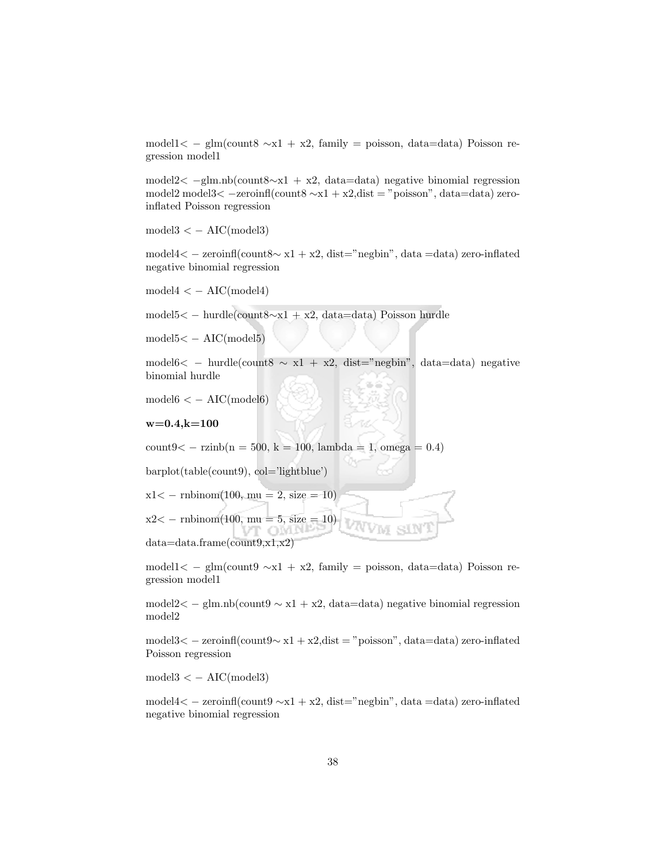model1< − glm(count8 ∼x1 + x2, family = poisson, data=data) Poisson regression model1

model2< −glm.nb(count8∼x1 + x2, data=data) negative binomial regression model2 model3< −zeroinfl(count8 ∼x1 + x2,dist = "poisson", data=data) zeroinflated Poisson regression

 $model3 < -AIC(model3)$ 

model4< − zeroinfl(count8∼ x1 + x2, dist="negbin", data =data) zero-inflated negative binomial regression

 $model4 < -AIC(model4)$ 

model5< − hurdle(count8∼x1 + x2, data=data) Poisson hurdle

 $model5 < -AIC(model5)$ 

model6< − hurdle(count8  $\sim x1 + x2$ , dist="negbin", data=data) negative binomial hurdle

 $model6 < -AIC(model6)$ 

#### $w=0.4, k=100$

 $count9 < - \rcsinh(n = 500, k = 100, lambda = 1,omega = 0.4)$ 

VT OMN-

barplot(table(count9), col='lightblue')

 $x1 < -$  rnbinom(100, mu = 2, size = 10)

 $x2 < -$  rnbinom(100, mu = 5, size = 10)

data=data.frame(count9,x1,x2)

model1< − glm(count9 ∼x1 + x2, family = poisson, data=data) Poisson regression model1

model2< − glm.nb(count9 ∼ x1 + x2, data=data) negative binomial regression model2

model3< − zeroinfl(count9∼ x1 + x2,dist = "poisson", data=data) zero-inflated Poisson regression

 $model3 < -AIC(model3)$ 

model4< − zeroinfl(count9 ∼x1 + x2, dist="negbin", data =data) zero-inflated negative binomial regression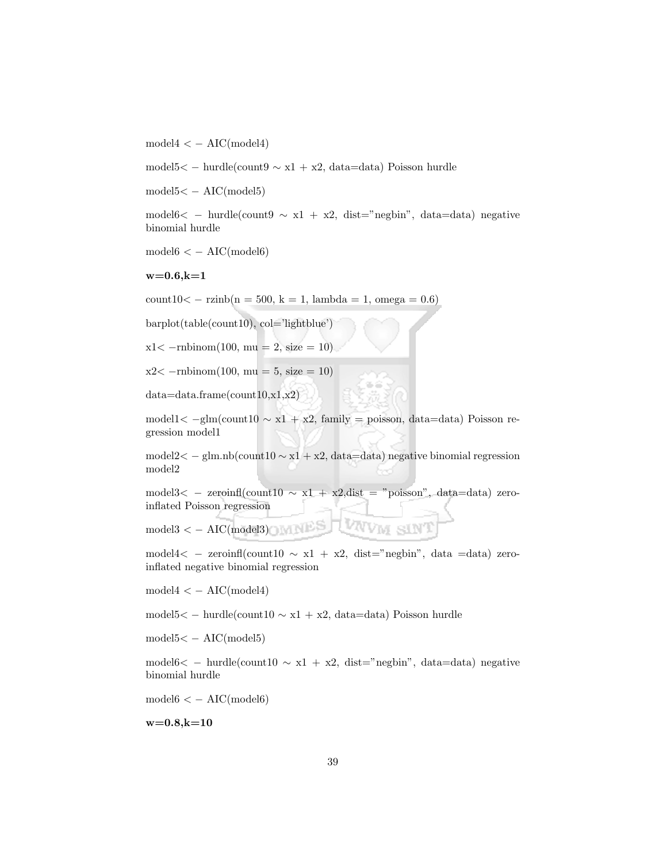$model4 < - AIC(model4)$ 

model5< − hurdle(count9 ∼ x1 + x2, data=data) Poisson hurdle

model5< − AIC(model5)

model6< − hurdle(count9  $\sim x1 + x2$ , dist="negbin", data=data) negative binomial hurdle

 $model6 < -AIC(model6)$ 

 $w=0.6, k=1$ 

count10< − rzinb(n = 500, k = 1, lambda = 1, omega = 0.6)

barplot(table(count10), col='lightblue')

 $x1 < -r$ mbinom $(100, mu = 2, size = 10)$ 

 $x2 < -r$ mbinom $(100, mu = 5, size = 10)$ 

data=data.frame(count10,x1,x2)

model1<  $-glm$ (count10  $\sim x1 + x2$ , family = poisson, data=data) Poisson regression model1

model2< − glm.nb(count10  $\sim$  x1 + x2, data=data) negative binomial regression model2

model3< − zeroinfl(count10  $\sim x1 + x2$ , dist = "poisson", data=data) zeroinflated Poisson regression

VNVM SIN

 $\text{model3} < -$  AIC(model3)

model4< – zeroinfl(count10  $\sim x1 + x2$ , dist="negbin", data =data) zeroinflated negative binomial regression

 $model4 < - AIC(model4)$ 

model5< − hurdle(count10 ∼ x1 + x2, data=data) Poisson hurdle

model5< − AIC(model5)

model6< − hurdle(count10  $\sim x1 + x2$ , dist="negbin", data=data) negative binomial hurdle

 $model6 < -AIC(model6)$ 

 $w=0.8, k=10$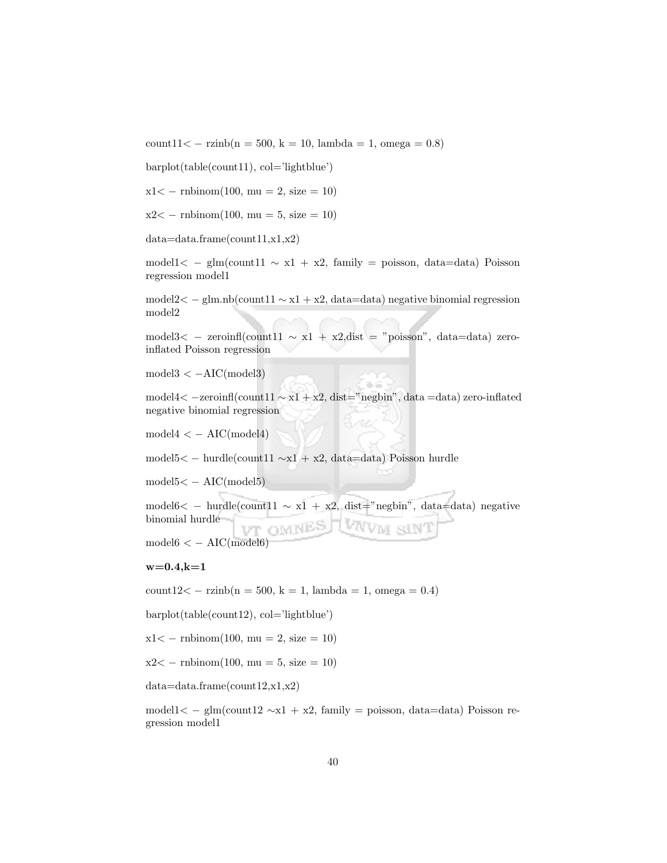count11< − rzinb(n = 500, k = 10, lambda = 1, omega = 0.8)

barplot(table(count11), col='lightblue')

 $x1 < -$  rnbinom(100, mu = 2, size = 10)

 $x2 < -$  rnbinom(100, mu = 5, size = 10)

data=data.frame(count11,x1,x2)

model1< − glm(count11  $\sim x1 + x2$ , family = poisson, data=data) Poisson regression model1

model2< − glm.nb(count11 ∼ x1 + x2, data=data) negative binomial regression model2

model3< − zeroinfl(count11 ∼ x1 + x2,dist = "poisson", data=data) zeroinflated Poisson regression

 $model3 < -AIC (model3)$ 

model4< −zeroinfl(count11 ∼ x1 + x2, dist="negbin", data =data) zero-inflated negative binomial regression

 $model4 < - AIC(model4)$ 

model5< − hurdle(count11 ∼x1 + x2, data=data) Poisson hurdle

 $model5 < -AIC(model5)$ 

model6< − hurdle(count11  $\sim x_1 + x_2$ , dist="negbin", data=data) negative binomial hurdle VT OMNES UWVM sIN

 $model6 < -AIC(model6)$ 

#### $w=0.4, k=1$

 $count12 < -$  rzinb $(n = 500, k = 1, lambda = 1, omega = 0.4)$ 

barplot(table(count12), col='lightblue')

 $x1 < -$  rnbinom $(100, mu = 2, size = 10)$ 

 $x2 < -$  rnbinom $(100, \text{mu} = 5, \text{size} = 10)$ 

data=data.frame(count12,x1,x2)

model1< − glm(count12 ∼x1 + x2, family = poisson, data=data) Poisson regression model1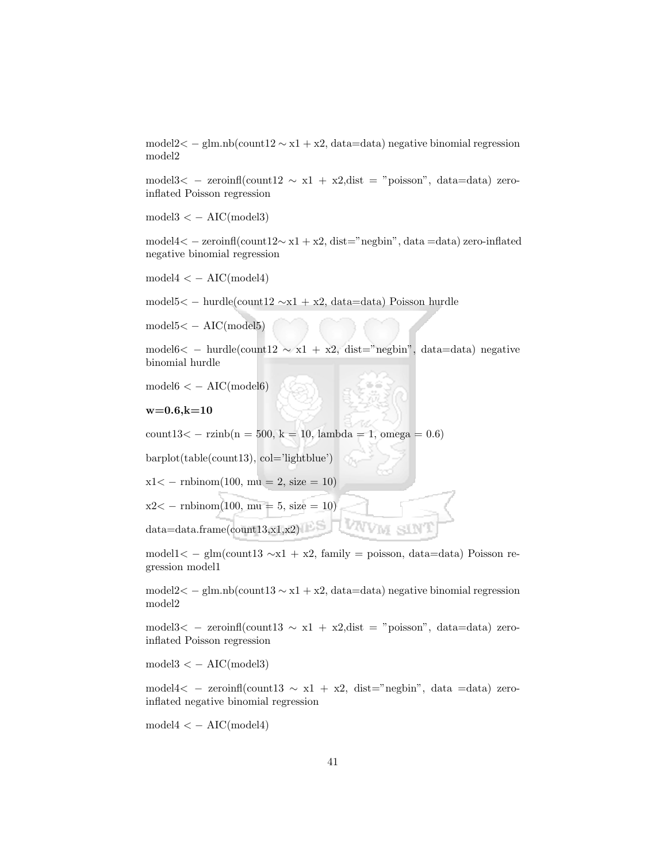model2< − glm.nb(count12 ∼ x1 + x2, data=data) negative binomial regression model2

model3< – zeroinfl(count12  $\sim x1 + x2$ , dist = "poisson", data=data) zeroinflated Poisson regression

 $model3 < -AIC(model3)$ 

model4< − zeroinfl(count12∼ x1 + x2, dist="negbin", data =data) zero-inflated negative binomial regression

 $model4 < - AIC(model4)$ 

model5< − hurdle(count12 ∼x1 + x2, data=data) Poisson hurdle

 $model5 < -AIC (model5)$ 

model6< − hurdle(count12  $\sim x1 + x2$ , dist="negbin", data=data) negative binomial hurdle

 $model6 < -AIC(model6)$ 

 $w=0.6, k=10$ 

count13< − rzinb(n = 500, k = 10, lambda = 1, omega = 0.6)

barplot(table(count13), col='lightblue')

 $x1 < -$  rnbinom $(100, \text{mu} = 2, \text{size} = 10)$ 

 $x2 < -$  rnbinom(100, mu = 5, size = 10)

data=data.frame(count13,x1,x2)

model1< − glm(count13 ∼x1 + x2, family = poisson, data=data) Poisson regression model1

model2< − glm.nb(count13 ∼ x1 + x2, data=data) negative binomial regression model2

model3< − zeroinfl(count13 ∼ x1 + x2,dist = "poisson", data=data) zeroinflated Poisson regression

 $model3 < -AIC(model3)$ 

model4< − zeroinfl(count13 ∼ x1 + x2, dist="negbin", data =data) zeroinflated negative binomial regression

 $model4 < - AIC(model4)$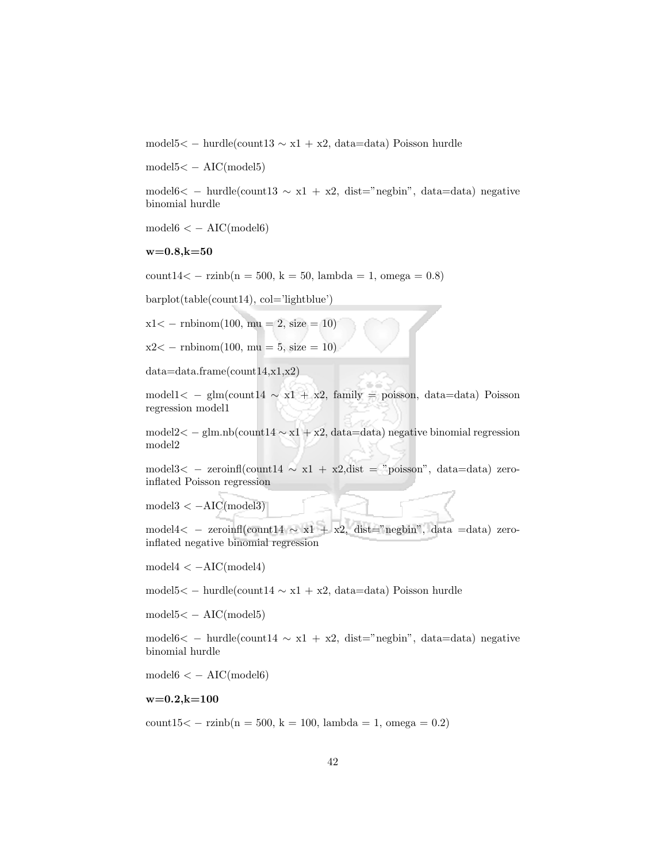model5< − hurdle(count13 ∼ x1 + x2, data=data) Poisson hurdle

model5< − AIC(model5)

model6< − hurdle(count13  $\sim x1 + x2$ , dist="negbin", data=data) negative binomial hurdle

 $model6 < -AIC(model6)$ 

#### $w=0.8, k=50$

count14< − rzinb(n = 500, k = 50, lambda = 1, omega = 0.8)

barplot(table(count14), col='lightblue')

 $x1 < -$  rnbinom(100, mu = 2, size = 10)

 $x2 < -$  rnbinom(100, mu = 5, size = 10)

data=data.frame(count14,x1,x2)

model1< − glm(count14 ∼ x1 + x2, family = poisson, data=data) Poisson regression model1

model2< − glm.nb(count14  $\sim$  x1 + x2, data=data) negative binomial regression model2

model3< – zeroinfl(count14  $\sim x1 + x2$ , dist = "poisson", data=data) zeroinflated Poisson regression

 $model3 < -AIC(model3)$ 

model4< - zeroinfl(count14  $\sim x1 + x2$ , dist="negbin", data =data) zeroinflated negative binomial regression

 $model4 < -AIC(model4)$ 

model5< − hurdle(count14 ∼ x1 + x2, data=data) Poisson hurdle

model5< − AIC(model5)

model6< − hurdle(count14  $\sim x1 + x2$ , dist="negbin", data=data) negative binomial hurdle

 $model6 < -AIC(model6)$ 

 $w=0.2, k=100$ 

 $count15 < -$  rzinb $(n = 500, k = 100, lambda = 1, omega = 0.2)$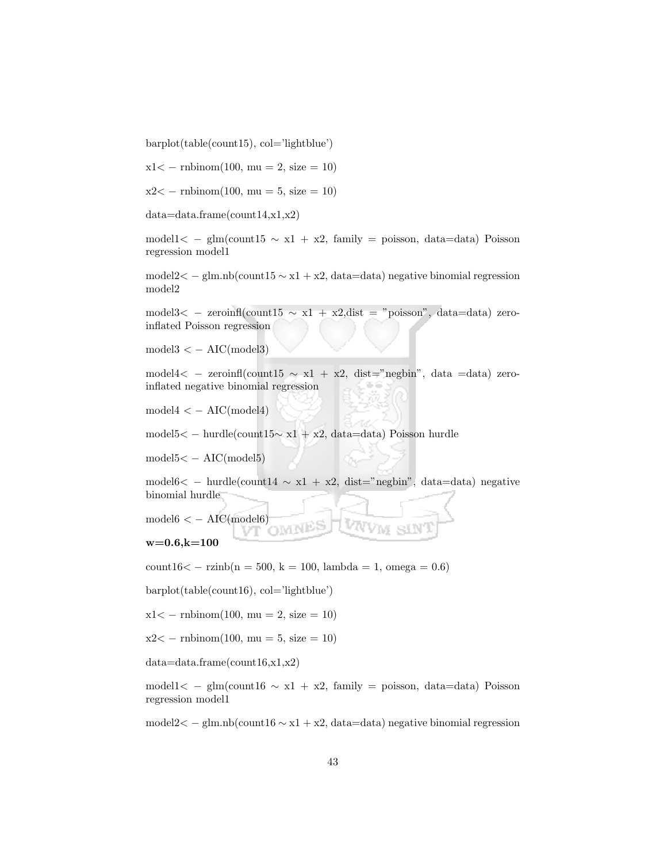barplot(table(count15), col='lightblue')

 $x1 < -$  rnbinom(100, mu = 2, size = 10)

 $x2 < -$  rnbinom(100, mu = 5, size = 10)

data=data.frame(count14,x1,x2)

model1< − glm(count15 ∼ x1 + x2, family = poisson, data=data) Poisson regression model1

model2< − glm.nb(count15 ∼ x1 + x2, data=data) negative binomial regression model2

model3< − zeroinfl(count15  $\sim x1 + x2$ ,dist = "poisson", data=data) zeroinflated Poisson regression

 $model3 < -AIC(model3)$ 

model4 $\lt$  – zeroinfl(count15  $\sim x1 + x2$ , dist="negbin", data =data) zeroinflated negative binomial regression

 $model4 < - AIC(model4)$ 

model5< − hurdle(count15∼ x1 + x2, data=data) Poisson hurdle

 $model5 < -AIC(model5)$ 

model6< − hurdle(count14  $\sim x1 + x2$ , dist="negbin", data=data) negative binomial hurdle

 $model6 < -AIC(model6)$ 

$$
_{\rm w=0.6,k=100}
$$

 $count16 < -$  rzinb $(n = 500, k = 100, lambda = 1, omega = 0.6)$ 

barplot(table(count16), col='lightblue')

 $x1 < -$  rnbinom $(100, \text{mu} = 2, \text{size} = 10)$ 

 $x2 < -$  rnbinom(100, mu = 5, size = 10)

data=data.frame(count16,x1,x2)

model1< − glm(count16  $\sim x1 + x2$ , family = poisson, data=data) Poisson regression model1

model2< − glm.nb(count16 ∼ x1 + x2, data=data) negative binomial regression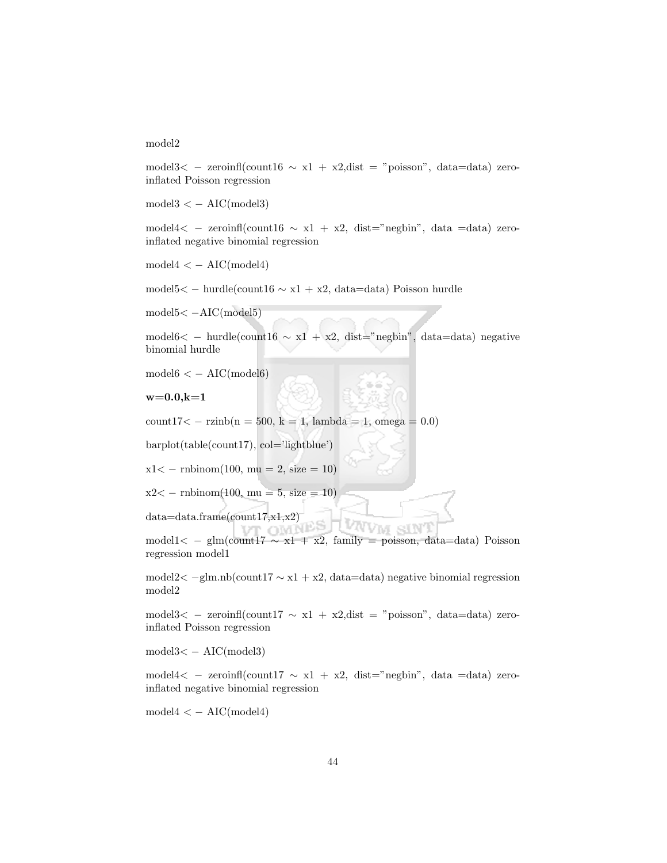#### model2

model3< - zeroinfl(count16  $\sim x1 + x2$ , dist = "poisson", data=data) zeroinflated Poisson regression

 $model3 < -AIC(model3)$ 

model4< − zeroinfl(count16 ∼ x1 + x2, dist="negbin", data =data) zeroinflated negative binomial regression

 $model4 < - AIC(model4)$ 

model5< − hurdle(count16 ∼ x1 + x2, data=data) Poisson hurdle

model5< −AIC(model5)

model6< − hurdle(count16 ∼ x1 + x2, dist="negbin", data=data) negative binomial hurdle

 $model6 < -AIC(model6)$ 

 $w=0.0, k=1$ 

count17< − rzinb(n = 500, k = 1, lambda = 1, omega = 0.0)

barplot(table(count17), col='lightblue')

 $x1 < -$  rnbinom(100, mu = 2, size = 10)

 $x2 < -$  rnbinom(100, mu = 5, size = 10)

data=data.frame(count17,x1,x2)

model1< − glm(count17 ∼ x1 + x2, family = poisson, data=data) Poisson regression model1

SIN

model2< −glm.nb(count17 ∼ x1 + x2, data=data) negative binomial regression model2

model3< − zeroinfl(count17 ∼ x1 + x2,dist = "poisson", data=data) zeroinflated Poisson regression

model3< − AIC(model3)

model4< – zeroinfl(count17  $\sim x1 + x2$ , dist="negbin", data =data) zeroinflated negative binomial regression

 $model4 < - AIC(model4)$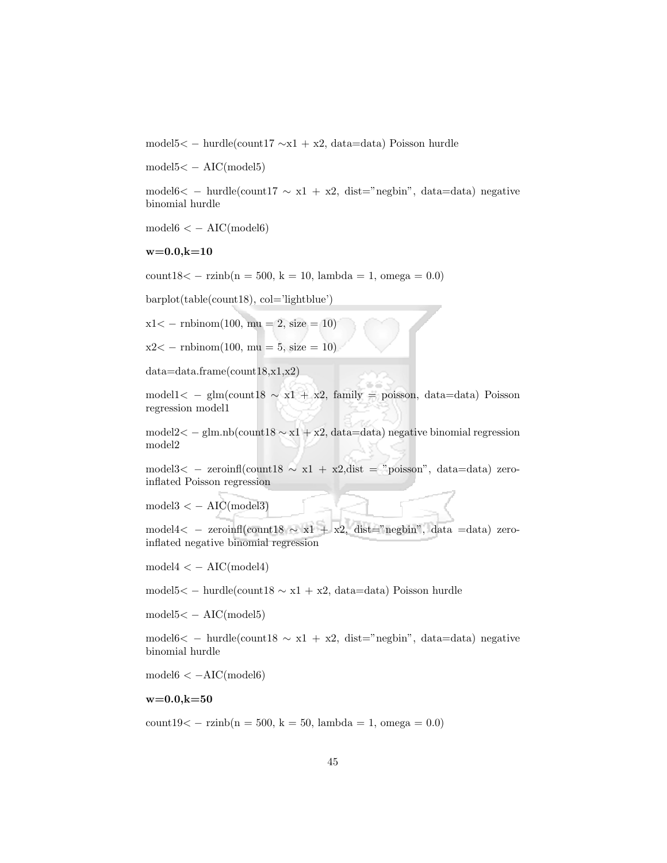model5< − hurdle(count17 ∼x1 + x2, data=data) Poisson hurdle

model5< − AIC(model5)

model6< − hurdle(count17  $\sim x1 + x2$ , dist="negbin", data=data) negative binomial hurdle

 $model6 < -AIC(model6)$ 

#### $w=0.0, k=10$

 $count18 < - \ranh(n = 500, k = 10, lambda = 1, omega = 0.0)$ 

barplot(table(count18), col='lightblue')

 $x1 < -$  rnbinom(100, mu = 2, size = 10)

 $x2 < -$  rnbinom(100, mu = 5, size = 10)

data=data.frame(count18,x1,x2)

model1< − glm(count18 ∼ x1 + x2, family = poisson, data=data) Poisson regression model1

model2< − glm.nb(count18  $\sim$  x1 + x2, data=data) negative binomial regression model2

model3< − zeroinfl(count18 ∼ x1 + x2,dist = "poisson", data=data) zeroinflated Poisson regression

 $model3 < - AIC(model3)$ 

model4< − zeroinfl(count18 ∼ x1 + x2, dist="negbin", data =data) zeroinflated negative binomial regression

 $model4 < - AIC(model4)$ 

model5< − hurdle(count18 ∼ x1 + x2, data=data) Poisson hurdle

model5< − AIC(model5)

model6< − hurdle(count18  $\sim x1 + x2$ , dist="negbin", data=data) negative binomial hurdle

 $model6 < -AIC(model6)$ 

 $w=0.0, k=50$ 

 $count19 < - \rcsinh(n = 500, k = 50, lambda = 1, omega = 0.0)$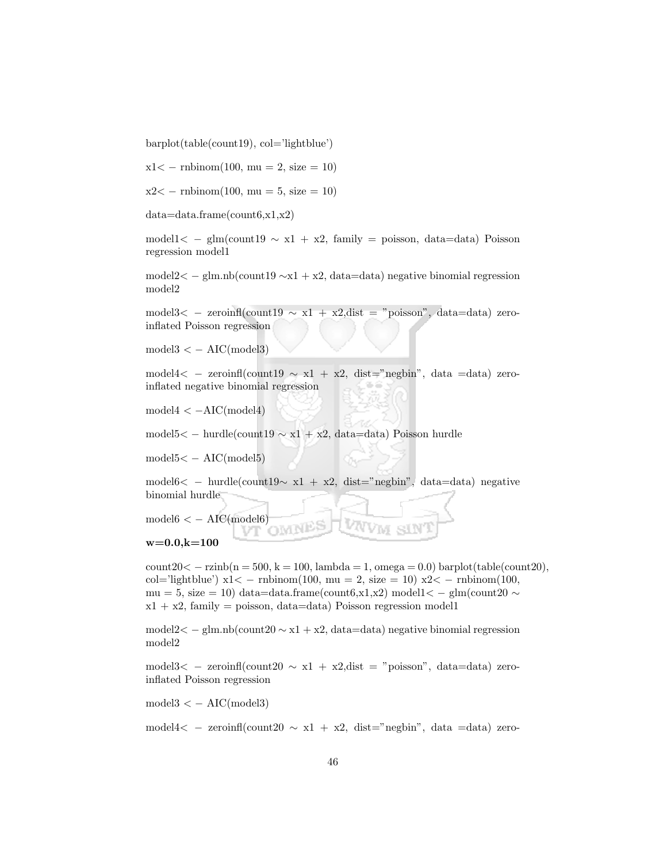barplot(table(count19), col='lightblue')

 $x1 < -$  rnbinom $(100, \text{mu} = 2, \text{size} = 10)$ 

 $x2 < -$  rnbinom(100, mu = 5, size = 10)

data=data.frame(count6,x1,x2)

model1< − glm(count19  $\sim x1 + x2$ , family = poisson, data=data) Poisson regression model1

model2< − glm.nb(count19 ∼x1 + x2, data=data) negative binomial regression model2

model3< – zeroinfl(count19  $\sim x1 + x2$ , dist = "poisson", data=data) zeroinflated Poisson regression

 $model3 < -AIC(model3)$ 

model4< – zeroinfl(count19  $\sim x1 + x2$ , dist="negbin", data =data) zeroinflated negative binomial regression

 $model4 < -AIC(model4)$ 

model5< − hurdle(count19 ∼ x1 + x2, data=data) Poisson hurdle

 $model5 < -AIC(model5)$ 

model6< − hurdle(count19∼ x1 + x2, dist="negbin", data=data) negative binomial hurdle

 $model6 < -AIC(model6)$ MNE

#### $w=0.0, k=100$

 $count20 < -\nzinh(n = 500, k = 100, lambda = 1,omega = 0.0) barplot(table(count20),$ col='lightblue')  $x1 < -$  rnbinom(100, mu = 2, size = 10)  $x2 < -$  rnbinom(100, mu = 5, size = 10) data=data.frame(count6,x1,x2) model1< - glm(count20  $\sim$  $x1 + x2$ , family = poisson, data=data) Poisson regression model1

model2< − glm.nb(count20 ∼ x1 + x2, data=data) negative binomial regression model2

model $3<$  – zeroinfl(count20  $\sim$  x1 + x2,dist = "poisson", data=data) zeroinflated Poisson regression

 $model3 < -AIC(model3)$ 

model4 $\lt$  – zeroinfl(count20  $\sim x1 + x2$ , dist="negbin", data =data) zero-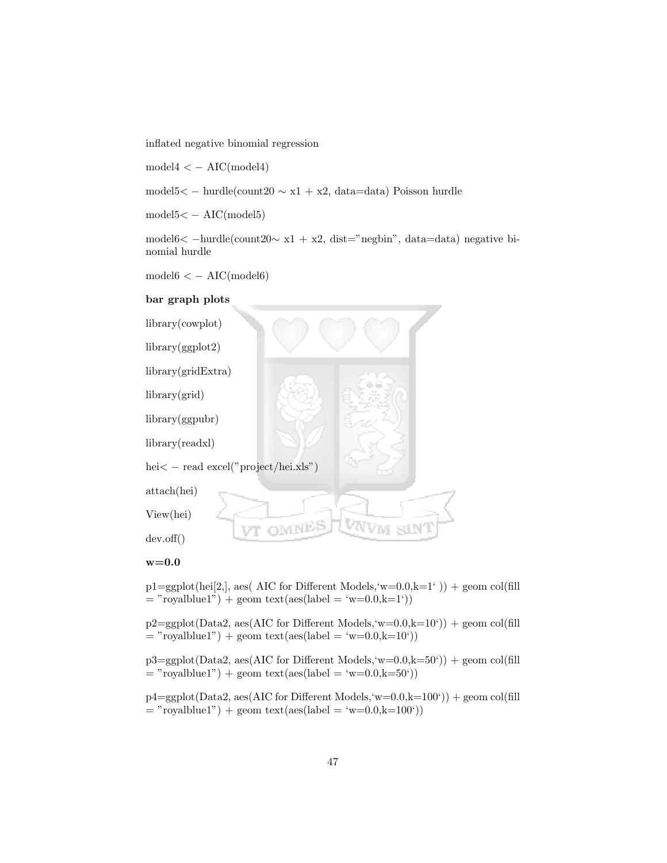inflated negative binomial regression

 $model4 < - AIC(model4)$ 

model5< − hurdle(count20 ∼ x1 + x2, data=data) Poisson hurdle

 $model5 < -AIC(model5)$ 

model6< −hurdle(count20∼ x1 + x2, dist="negbin", data=data) negative binomial hurdle

 $model6 < -AIC(model6)$ 

### bar graph plots



 $p1=ggplot(hei[2,],$  aes( AIC for Different Models, 'w=0.0,k=1')) + geom col(fill

 $=$  "royalblue1") + geom text(aes(label  $=$  'w=0.0,k=1'))  $p2 = ggbot(Data2, aes(AIC for Different Models, 'w=0.0, k=10')) + geom col(fill)$ 

 $=$  "royalblue1") + geom text(aes(label = 'w=0.0,k=10'))

 $p3 = ggplot(Data2, aes(AIC for Different Models, 'w=0.0, k=50'))$  + geom col(fill  $=$  "royalblue1") + geom text(aes(label  $=$  'w=0.0,k=50'))

 $p4=ggplot(Data2, aes(AIC for Different Models, 'w=0.0,k=100')) + geom col(fill)$  $=$  "royalblue1") + geom text(aes(label  $=$  'w=0.0,k=100'))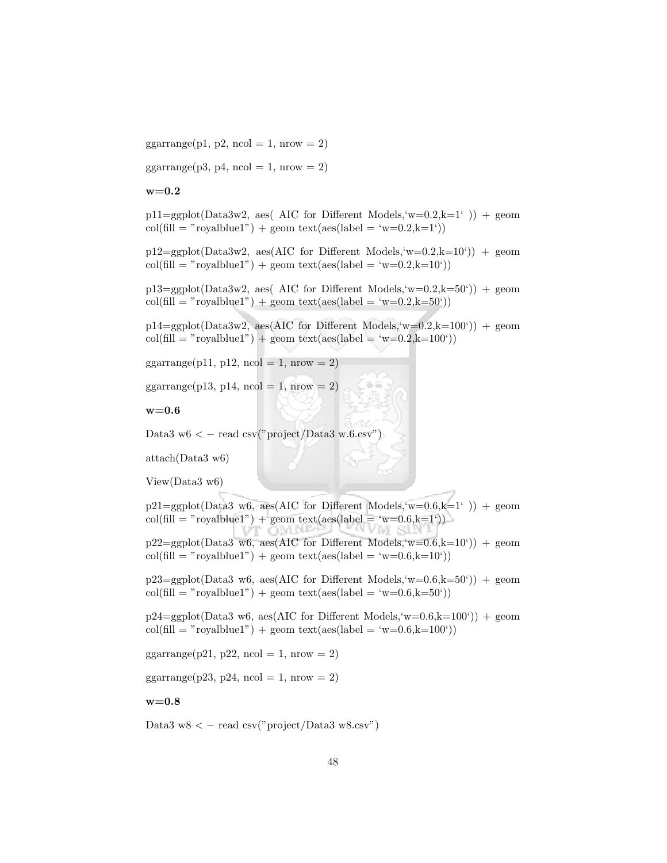$ggarrange(p1, p2, ncol = 1, nrow = 2)$ 

 $ggarrange(p3, p4, ncol = 1, nrow = 2)$ 

 $w=0.2$ 

 $p11=ggplot(Data3w2, aes( AIC for Different Models, 'w=0.2,k=1')) + geom$  $col(\text{fill} = "roughblue1") + \text{geom text}(aes(\text{label} = 'w=0.2,k=1'))$ 

 $p12 = ggplot(Data3w2, aes(AIC for Different Models, w=0.2, k=10')) + geom$  $col(\text{fill} = "roughblue1") + geom text(aes(label = 'w=0.2, k=10'))$ 

 $p13 = ggplot(Data3w2, aes( AIC for Different Models, 'w=0.2, k=50')) + geom$  $col(\text{fill} = "roughblue1") + \text{geom text}(aes(\text{label} = 'w=0.2,k=50'))$ 

 $p14 = ggplot(Data3w2, aes(AIC for Different Models, w=0.2, k=100)) + geom$  $col(\text{fill} = "roughblue1") + geom text(aes(label = 'w=0.2, k=100'))$ 

ggarrange(p11, p12, ncol = 1, nrow = 2)

ggarrange(p13, p14, ncol = 1, nrow = 2)

 $w=0.6$ 

Data3 w6  $\lt$  – read csv("project/Data3 w.6.csv")

attach(Data3 w6)

```
View(Data3 w6)
```
 $p21=\text{sgplot}(Data3 \text{ w6}, \text{aes}(AIC \text{ for Different Models}, \text{w=0.6}, k=1)) + \text{geom}$ col(fill = "royalblue1") + geom text(aes(label = 'w=0.6,k=1')) **VT OMNE** 

 $p22 = ggplot(Data3 \text{ w6}, \text{aes}(AIC for Different Models, \text{w=0.6}, k=10')) + geom$  $col(\text{fill} = "roughblue1") + geom text(aes(label = 'w=0.6, k=10'))$ 

 $p23 = ggplot(Data3 w6, \text{aes}(AIC for Different Models, w=0.6, k=50')) + geom$  $col(\text{fill} = "roughblue1") + geom text(aes(label = 'w=0.6, k=50'))$ 

 $p24 = ggplot(Data3 w6, aes(AIC for Different Models, w=0.6, k=100')) + geom$  $col(\text{fill} = "roughblue1") + \text{geom text}(aes(\text{label} = 'w=0.6, k=100'))$ 

ggarrange(p21, p22, ncol = 1, nrow = 2)

ggarrange(p23, p24, ncol = 1, nrow = 2)

 $w=0.8$ 

Data3 w8  $\lt$  – read csv("project/Data3 w8.csv")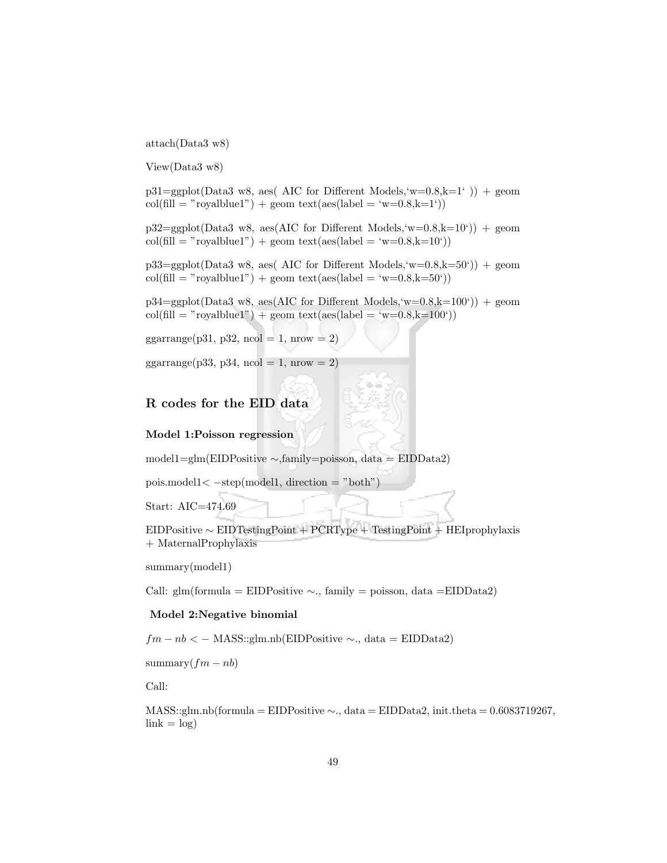attach(Data3 w8)

View(Data3 w8)

 $p31 = ggplot(Data3 w8, aes( AIC for Different Models, w=0.8, k=1) ) + geom$  $col(\text{fill} = "roughblue1") + \text{geom text}(aes(\text{label} = 'w=0.8,k=1'))$ 

 $p32 = ggplot(Data3 w8, \text{aes}(AIC for Different Models, 'w=0.8, k=10')) + geom$  $col(\text{fill} = "rough" + \text{geom text}(\text{aes}(\text{label} = 'w=0.8, k=10'))$ 

 $p33 = gcplot(Data3 w8, aes( AIC for Different Models, w=0.8, k=50)) + geom$  $col(\text{fill} = "roughblue1") + \text{geom text}(aes(\text{label} = 'w=0.8, k=50'))$ 

 $p34=ggplot(Data3 w8, aes(AIC for Different Models, w=0.8,k=100'))$  + geom  $col(\text{fill} = "roughblue1") + geom text(aes(label = 'w=0.8,k=100'))$ 

ggarrange(p31, p32, ncol = 1, nrow = 2)

ggarrange(p33, p34, ncol = 1, nrow = 2)

### R codes for the EID data

#### Model 1:Poisson regression

model1=glm(EIDPositive ∼,family=poisson, data = EIDData2)

pois.model1< −step(model1, direction = "both")

Start: AIC=474.69

EIDPositive ∼ EIDTestingPoint + PCRType + TestingPoint + HEIprophylaxis + MaternalProphylaxis

summary(model1)

Call: glm(formula = EIDPositive  $\sim$ ., family = poisson, data = EIDData2)

#### Model 2:Negative binomial

 $fm - nb < -$  MASS::glm.nb(EIDPositive  $\sim$ ., data = EIDData2)

summary $(fm - nb)$ 

Call:

 $MASS::glm.nb (formula = EIDPositive \sim ., data = EIDData2, init. theta = 0.6083719267,$  $link = log$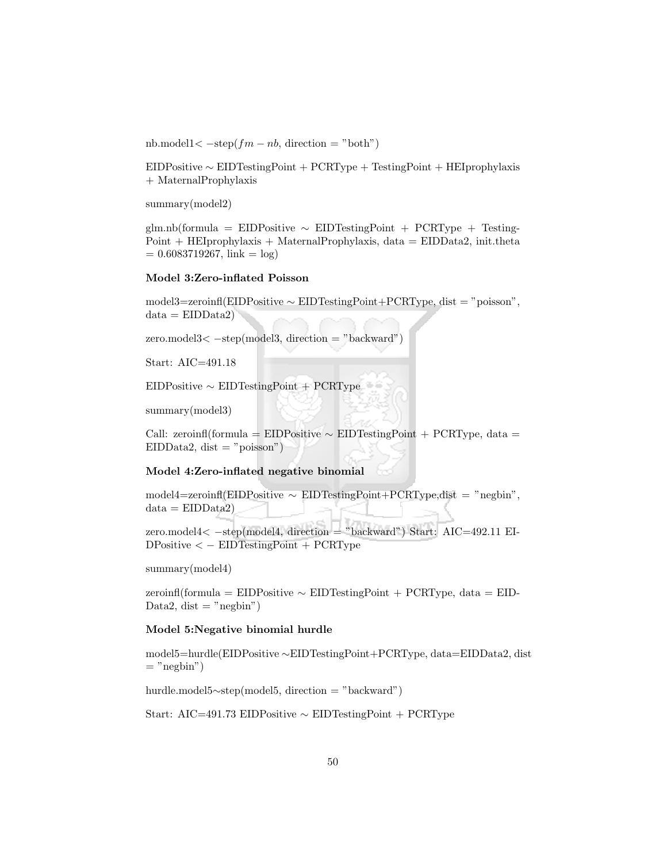nb.model1<  $-$ step( $fm - nb$ , direction = "both")

EIDPositive ∼ EIDTestingPoint + PCRType + TestingPoint + HEIprophylaxis + MaternalProphylaxis

summary(model2)

glm.nb(formula = EIDPositive ∼ EIDTestingPoint + PCRType + Testing- $Point + HEI$ prophylaxis + MaternalProphylaxis, data =  $EIDData2$ , init.theta  $= 0.6083719267$ , link  $= \log$ )

#### Model 3:Zero-inflated Poisson

model3=zeroinfl(EIDPositive ∼ EIDTestingPoint+PCRType, dist = "poisson",  $data = EIDData2)$ 

 $zero.model3 $\lt$  -step(model3, direction = "backward")$ 

Start: AIC=491.18

EIDPositive ∼ EIDTestingPoint + PCRType

summary(model3)

Call: zeroinfl(formula = EIDPositive ∼ EIDTestingPoint + PCRType, data = EIDData2, dist  $=$  "poisson")

#### Model 4:Zero-inflated negative binomial

model4=zeroinfl(EIDPositive ∼ EIDTestingPoint+PCRType,dist = "negbin",  $data = EIDData2)$ 

zero.model4< −step(model4, direction = "backward") Start: AIC=492.11 EI-DPositive < − EIDTestingPoint + PCRType

summary(model4)

zeroinfl(formula = EIDPositive ∼ EIDTestingPoint + PCRType, data = EID-Data2, dist  $=$  "negbin")

#### Model 5:Negative binomial hurdle

model5=hurdle(EIDPositive ∼EIDTestingPoint+PCRType, data=EIDData2, dist  $=$  "negbin")

hurdle.model5∼step(model5, direction = "backward")

Start: AIC=491.73 EIDPositive ∼ EIDTestingPoint + PCRType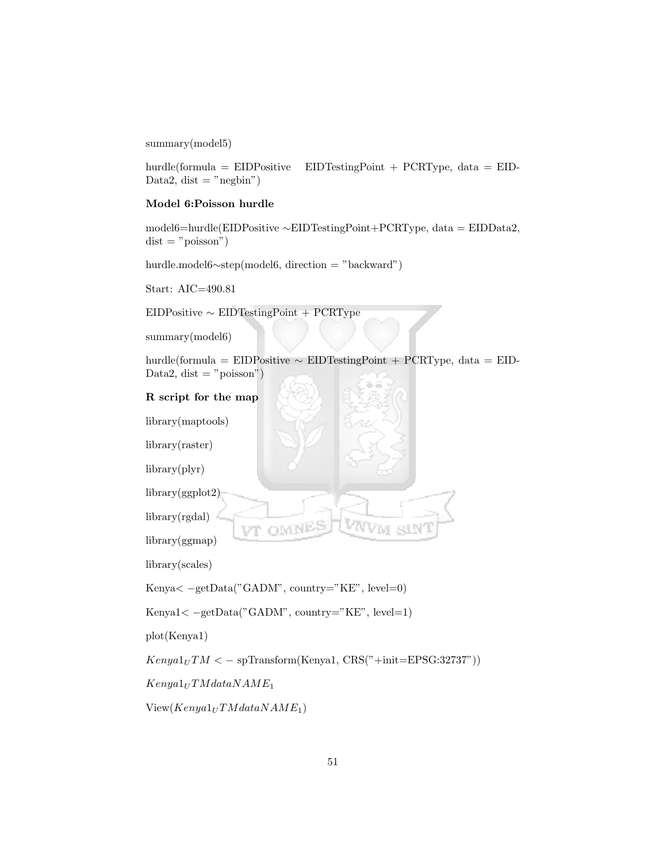summary(model5)

hurdle(formula = EIDPositive EIDTestingPoint + PCRType, data = EID-Data2, dist  $=$  "negbin")

### Model 6:Poisson hurdle

model6=hurdle(EIDPositive ∼EIDTestingPoint+PCRType, data = EIDData2,  $dist = "poisson")$ 

hurdle.model6∼step(model6, direction = "backward")

Start: AIC=490.81

EIDPositive ∼ EIDTestingPoint + PCRType

summary(model6)

hurdle(formula = EIDPositive  $\sim$  EIDTestingPoint + PCRType, data = EID-Data2, dist  $=$  "poisson")

### R script for the map

library(maptools)

library(raster)

library(plyr)

library(ggplot2)

library(rgdal)

library(ggmap)

library(scales)

Kenya< −getData("GADM", country="KE", level=0)

Kenya1< −getData("GADM", country="KE", level=1)

plot(Kenya1)

 $Kenya1_U TM < -$  spTransform(Kenya1, CRS("+init=EPSG:32737"))

 $Kenya1_U TM dataNAME_1$ 

 $View(Kenya1_U TMdataNAME_1)$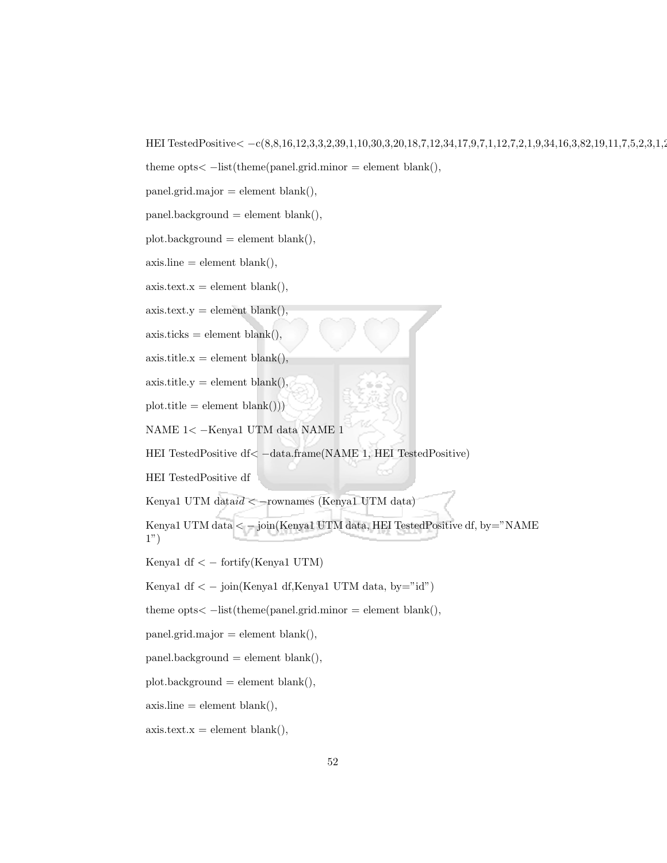HEI TestedPositive< -c(8,8,16,12,3,3,2,39,1,10,30,3,20,18,7,12,34,17,9,7,1,12,7,2,1,9,34,16,3,82,19,11,7,5,2,3,1,2

```
theme opts\lt -list(theme(panel.grid.minor = element blank(),
```
panel.grid.major = element blank(),

 $panel, background = element blank(),$ 

 $plot.\text{background} = element \text{ blank}(),$ 

 $axisline = element blank(),$ 

 $axis.text.x = element blank(),$ 

 $axis.text.y = element blank(),$ 

 $axis.$ ticks = element blank $($ ),

 $axis.title.x = element blank(),$ 

 $axis.title.y = element blank(),$ 

 $plot.title = element blank())$ 

NAME 1< −Kenya1 UTM data NAME 1

HEI TestedPositive df< −data.frame(NAME 1, HEI TestedPositive)

HEI TestedPositive df

Kenya1 UTM data $id <$ -rownames (Kenya1 UTM data)

Kenya1 UTM data < − join(Kenya1 UTM data, HEI TestedPositive df, by="NAME 1")

Kenya1 df  $\langle$  - fortify(Kenya1 UTM)

Kenya1 df <  $-$  join(Kenya1 df,Kenya1 UTM data, by="id")

theme opts $\lt$  -list(theme(panel.grid.minor = element blank(),

 $panel.grid.major = element blank(),$ 

 $panel, background = element blank(),$ 

 $plot.\text{background} = element \text{ blank}(),$ 

 $axisline = element blank(),$ 

 $axis.text.x = element blank(),$